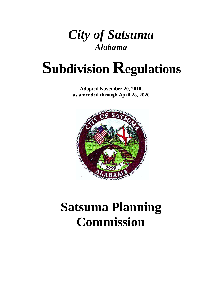

# **Subdivision Regulations**

**Adopted November 20, 2010, as amended through April 28, 2020**



# **Satsuma Planning Commission**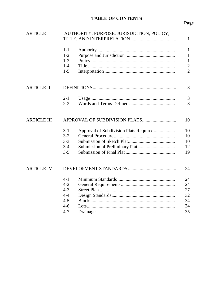# **TABLE OF CONTENTS**

# **Page**

| <b>ARTICLE I</b>   | AUTHORITY, PURPOSE, JURISDICTION, POLICY,<br>$\mathbf{1}$ |                                        |                |  |
|--------------------|-----------------------------------------------------------|----------------------------------------|----------------|--|
|                    | $1-1$                                                     |                                        | $\mathbf{1}$   |  |
|                    | $1 - 2$                                                   |                                        | $\mathbf{1}$   |  |
|                    | $1-3$                                                     |                                        | $\mathbf{1}$   |  |
|                    | $1-4$                                                     |                                        | $\frac{2}{2}$  |  |
|                    | $1-5$                                                     |                                        |                |  |
| <b>ARTICLE II</b>  |                                                           | 3                                      |                |  |
|                    | $2 - 1$                                                   |                                        | 3              |  |
|                    | $2 - 2$                                                   |                                        | $\overline{3}$ |  |
| <b>ARTICLE III</b> | 10                                                        |                                        |                |  |
|                    | $3-1$                                                     | Approval of Subdivision Plats Required | 10             |  |
|                    | $3 - 2$                                                   |                                        | 10             |  |
|                    | $3 - 3$                                                   |                                        | 10             |  |
|                    | $3-4$                                                     |                                        | 12             |  |
|                    | $3 - 5$                                                   |                                        | 19             |  |
| <b>ARTICLE IV</b>  | 24                                                        |                                        |                |  |
|                    | $4 - 1$                                                   |                                        | 24             |  |
|                    | $4 - 2$                                                   |                                        | 24             |  |
|                    | $4 - 3$                                                   |                                        | 27             |  |
|                    | $4 - 4$                                                   |                                        | 32             |  |
|                    | $4 - 5$                                                   |                                        | 34             |  |
|                    | $4-6$                                                     |                                        | 34             |  |
|                    | $4 - 7$                                                   |                                        | 35             |  |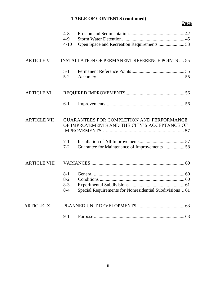# **TABLE OF CONTENTS (continued)**

# **Page**

|                     | $4 - 8$<br>$4-9$<br>$4 - 10$         |                                                                                                  |  |
|---------------------|--------------------------------------|--------------------------------------------------------------------------------------------------|--|
| <b>ARTICLE V</b>    |                                      | <b>INSTALLATION OF PERMANENT REFERENCE POINTS  55</b>                                            |  |
|                     | $5 - 1$<br>$5 - 2$                   |                                                                                                  |  |
| <b>ARTICLE VI</b>   |                                      |                                                                                                  |  |
|                     | $6 - 1$                              |                                                                                                  |  |
| <b>ARTICLE VII</b>  |                                      | <b>GUARANTEES FOR COMPLETION AND PERFORMANCE</b><br>OF IMPROVEMENTS AND THE CITY'S ACCEPTANCE OF |  |
|                     | $7 - 1$<br>$7 - 2$                   |                                                                                                  |  |
| <b>ARTICLE VIII</b> |                                      |                                                                                                  |  |
|                     | $8 - 1$<br>$8-2$<br>$8-3$<br>$8 - 4$ | Special Requirements for Nonresidential Subdivisions  61                                         |  |
| <b>ARTICLE IX</b>   |                                      |                                                                                                  |  |
|                     | $9 - 1$                              |                                                                                                  |  |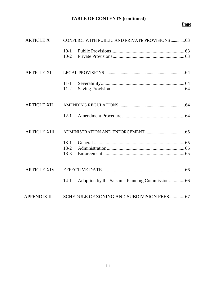# **TABLE OF CONTENTS (continued)**

# **Page**

| <b>ARTICLE X</b>    |                                  | CONFLICT WITH PUBLIC AND PRIVATE PROVISIONS  63 |
|---------------------|----------------------------------|-------------------------------------------------|
|                     | $10-1$<br>$10-2$                 |                                                 |
| <b>ARTICLE XI</b>   |                                  |                                                 |
|                     | $11 - 1$<br>$11-2$               |                                                 |
| <b>ARTICLE XII</b>  |                                  |                                                 |
|                     | $12 - 1$                         |                                                 |
| <b>ARTICLE XIII</b> |                                  |                                                 |
|                     | $13 - 1$<br>$13 - 2$<br>$13 - 3$ |                                                 |
| <b>ARTICLE XIV</b>  |                                  |                                                 |
|                     | $14 - 1$                         | Adoption by the Satsuma Planning Commission 66  |
| <b>APPENDIX II</b>  |                                  | SCHEDULE OF ZONING AND SUBDIVISION FEES 67      |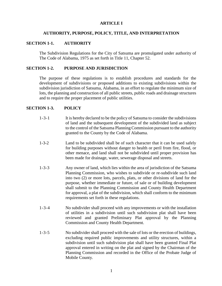# **ARTICLE I**

# **AUTHORITY, PURPOSE, POLICY, TITLE, AND INTERPRETATION**

# **SECTION 1-1. AUTHORITY**

The Subdivision Regulations for the City of Satsuma are promulgated under authority of The Code of Alabama, 1975 as set forth in Title 11, Chapter 52.

# **SECTION 1-2. PURPOSE AND JURISDICTION**

The purpose of these regulations is to establish procedures and standards for the development of subdivisions or proposed additions to existing subdivisions within the subdivision jurisdiction of Satsuma, Alabama, in an effort to regulate the minimum size of lots, the planning and construction of all public streets, public roads and drainage structures and to require the proper placement of public utilities.

# **SECTION 1-3. POLICY**

- 1-3-1 It is hereby declared to be the policy of Satsuma to consider the subdivisions of land and the subsequent development of the subdivided land as subject to the control of the Satsuma Planning Commission pursuant to the authority granted to the County by the Code of Alabama.
- 1-3-2 Land to be subdivided shall be of such character that it can be used safely for building purposes without danger to health or peril from fire, flood, or other menace, and land shall not be subdivided until proper provision has been made for drainage, water, sewerage disposal and streets.
- 1-3-3 Any owner of land, which lies within the area of jurisdiction of the Satsuma Planning Commission, who wishes to subdivide or re-subdivide such land into two (2) or more lots, parcels, plats, or other divisions of land for the purpose, whether immediate or future, of sale or of building development shall submit to the Planning Commission and County Health Department for approval, a plat of the subdivision, which shall conform to the minimum requirements set forth in these regulations.
- 1-3-4 No subdivider shall proceed with any improvements or with the installation of utilities in a subdivision until such subdivision plat shall have been reviewed and granted Preliminary Plat approval by the Planning Commission and County Health Department.
- 1-3-5 No subdivider shall proceed with the sale of lots or the erection of buildings, excluding required public improvements and utility structures, within a subdivision until such subdivision plat shall have been granted Final Plat approval entered in writing on the plat and signed by the Chairman of the Planning Commission and recorded in the Office of the Probate Judge of Mobile County.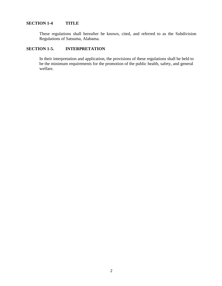# **SECTION 1-4 TITLE**

These regulations shall hereafter be known, cited, and referred to as the Subdivision Regulations of Satsuma, Alabama.

# **SECTION 1-5. INTERPRETATION**

In their interpretation and application, the provisions of these regulations shall be held to be the minimum requirements for the promotion of the public health, safety, and general welfare.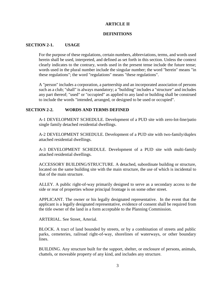# **ARTICLE II**

# **DEFINITIONS**

# **SECTION 2-1. USAGE**

For the purpose of these regulations, certain numbers, abbreviations, terms, and words used herein shall be used, interpreted, and defined as set forth in this section. Unless the context clearly indicates to the contrary, words used in the present tense include the future tense; words used in the plural number include the singular number; the word "herein" means "in these regulations"; the word "regulations" means "these regulations".

A "person" includes a corporation, a partnership and an incorporated association of persons such as a club; "shall" is always mandatory; a "building" includes a "structure" and includes any part thereof; "used" or "occupied" as applied to any land or building shall be construed to include the words "intended, arranged, or designed to be used or occupied".

# **SECTION 2-2. WORDS AND TERMS DEFINED**

A-1 DEVELOPMENT SCHEDULE. Development of a PUD site with zero-lot-line/patio single family detached residential dwellings.

A-2 DEVELOPMENT SCHEDULE. Development of a PUD site with two-family/duplex attached residential dwellings.

A-3 DEVELOPMENT SCHEDULE. Development of a PUD site with multi-family attached residential dwellings.

ACCESSORY BUILDING/STRUCTURE. A detached, subordinate building or structure, located on the same building site with the main structure, the use of which is incidental to that of the main structure.

ALLEY. A public right-of-way primarily designed to serve as a secondary access to the side or rear of properties whose principal frontage is on some other street.

APPLICANT. The owner or his legally designated representative. In the event that the applicant is a legally designated representative, evidence of consent shall be required from the title owner of the land in a form acceptable to the Planning Commission.

ARTERIAL. See Street, Arterial.

BLOCK. A tract of land bounded by streets, or by a combination of streets and public parks, cemeteries, railroad right-of-way, shorelines of waterways, or other boundary lines.

BUILDING. Any structure built for the support, shelter, or enclosure of persons, animals, chattels, or moveable property of any kind, and includes any structure.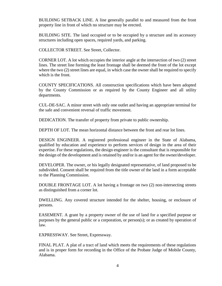BUILDING SETBACK LINE. A line generally parallel to and measured from the front property line in front of which no structure may be erected.

BUILDING SITE. The land occupied or to be occupied by a structure and its accessory structures including open spaces, required yards, and parking.

COLLECTOR STREET. See Street, Collector.

CORNER LOT. A lot which occupies the interior angle at the intersection of two (2) street lines. The street line forming the least frontage shall be deemed the front of the lot except where the two (2) street lines are equal, in which case the owner shall be required to specify which is the front.

COUNTY SPECIFICATIONS. All construction specifications which have been adopted by the County Commission or as required by the County Engineer and all utility departments.

CUL-DE-SAC. A minor street with only one outlet and having an appropriate terminal for the safe and convenient reversal of traffic movement.

DEDICATION. The transfer of property from private to public ownership.

DEPTH OF LOT. The mean horizontal distance between the front and rear lot lines.

DESIGN ENGINEER. A registered professional engineer in the State of Alabama, qualified by education and experience to perform services of design in the area of their expertise. For these regulations, the design engineer is the consultant that is responsible for the design of the development and is retained by and/or is an agent for the owner/developer.

DEVELOPER. The owner, or his legally designated representative, of land proposed to be subdivided. Consent shall be required from the title owner of the land in a form acceptable to the Planning Commission.

DOUBLE FRONTAGE LOT. A lot having a frontage on two (2) non-intersecting streets as distinguished from a corner lot.

DWELLING. Any covered structure intended for the shelter, housing, or enclosure of persons.

EASEMENT. A grant by a property owner of the use of land for a specified purpose or purposes by the general public or a corporation, or person(s); or as created by operation of law.

EXPRESSWAY. See Street, Expressway.

FINAL PLAT. A plat of a tract of land which meets the requirements of these regulations and is in proper form for recording in the Office of the Probate Judge of Mobile County, Alabama.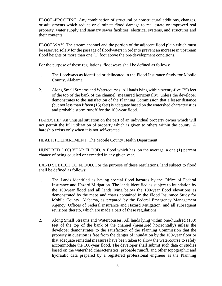FLOOD-PROOFING. Any combination of structural or nonstructural additions, changes, or adjustments which reduce or eliminate flood damage to real estate or improved real property, water supply and sanitary sewer facilities, electrical systems, and structures and their contents.

FLOODWAY. The stream channel and the portion of the adjacent flood plain which must be reserved solely for the passage of floodwaters in order to prevent an increase in upstream flood heights of more than one (1) foot above the pre-development conditions.

For the purpose of these regulations, floodways shall be defined as follows:

- 1. The floodways as identified or delineated in the Flood Insurance Study for Mobile County, Alabama.
- 2. Along Small Streams and Watercourses. All lands lying within twenty-five (25) feet of the top of the bank of the channel (measured horizontally), unless the developer demonstrates to the satisfaction of the Planning Commission that a lesser distance (but not less than fifteen (15) feet) is adequate based on the watershed characteristics and probable storm runoff for the 100-year flood.

HARDSHIP. An unusual situation on the part of an individual property owner which will not permit the full utilization of property which is given to others within the county. A hardship exists only when it is not self-created.

HEALTH DEPARTMENT. The Mobile County Health Department.

HUNDRED (100) YEAR FLOOD. A flood which has, on the average, a one (1) percent chance of being equaled or exceeded in any given year.

LAND SUBJECT TO FLOOD. For the purpose of these regulations, land subject to flood shall be defined as follows:

- 1. The Lands identified as having special flood hazards by the Office of Federal Insurance and Hazard Mitigation. The lands identified as subject to inundation by the 100-year flood and all lands lying below the 100-year flood elevations as demonstrated by the maps and charts contained in the Flood Insurance Study for Mobile County, Alabama, as prepared by the Federal Emergency Management Agency, Offices of Federal insurance and Hazard Mitigation, and all subsequent revisions thereto, which are made a part of these regulations.
- 2. Along Small Streams and Watercourses. All lands lying within one-hundred (100) feet of the top of the bank of the channel (measured horizontally) unless the developer demonstrates to the satisfaction of the Planning Commission that the property in question is free from the danger of inundation by the 100-year floor or that adequate remedial measures have been taken to allow the watercourse to safely accommodate the 100-year flood. The developer shall submit such data or studies based on the watershed characteristics, probable runoff, and other topographic and hydraulic data prepared by a registered professional engineer as the Planning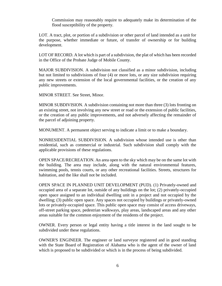Commission may reasonably require to adequately make its determination of the flood susceptibility of the property.

LOT. A tract, plot, or portion of a subdivision or other parcel of land intended as a unit for the purpose, whether immediate or future, of transfer of ownership or for building development.

LOT OF RECORD. A lot which is part of a subdivision, the plat of which has been recorded in the Office of the Probate Judge of Mobile County.

MAJOR SUBDIVISION. A subdivision not classified as a minor subdivision, including but not limited to subdivisions of four (4) or more lots, or any size subdivision requiring any new streets or extension of the local governmental facilities, or the creation of any public improvements.

MINOR STREET. See Street, Minor.

MINOR SUBDIVISION. A subdivision containing not more than three (3) lots fronting on an existing street, not involving any new street or road or the extension of public facilities, or the creation of any public improvements, and not adversely affecting the remainder of the parcel of adjoining property.

MONUMENT. A permanent object serving to indicate a limit or to make a boundary.

NONRESIDENTIAL SUBDIVISION. A subdivision whose intended use is other than residential, such as commercial or industrial. Such subdivision shall comply with the applicable provisions of these regulations.

OPEN SPACE/RECREATION. An area open to the sky which may be on the same lot with the building. The area may include, along with the natural environmental features, swimming pools, tennis courts, or any other recreational facilities. Streets, structures for habitation, and the like shall not be included.

OPEN SPACE IN PLANNED UNIT DEVELOPMENT (PUD). (1) Privately-owned and occupied area of a separate lot, outside of any buildings on the lot; (2) privately-occupied open space assigned to an individual dwelling unit in a project and not occupied by the dwelling; (3) public open space. Any spaces not occupied by buildings or privately-owned lots or privately-occupied space. This public open space may consist of access driveways, off-street parking space, pedestrian walkways, play areas, landscaped areas and any other areas suitable for the common enjoyment of the residents of the project.

OWNER. Every person or legal entity having a title interest in the land sought to be subdivided under these regulations.

OWNER'S ENGINEER. The engineer or land surveyor registered and in good standing with the State Board of Registration of Alabama who is the agent of the owner of land which is proposed to be subdivided or which is in the process of being subdivided.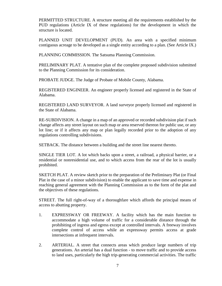PERMITTED STRUCTURE. A structure meeting all the requirements established by the PUD regulations (Article IX of these regulations) for the development in which the structure is located.

PLANNED UNIT DEVELOPMENT (PUD). An area with a specified minimum contiguous acreage to be developed as a single entity according to a plan. (See Article IX.)

PLANNING COMMISSION. The Satsuma Planning Commission.

PRELIMINARY PLAT. A tentative plan of the complete proposed subdivision submitted to the Planning Commission for its consideration.

PROBATE JUDGE. The Judge of Probate of Mobile County, Alabama.

REGISTERED ENGINEER. An engineer properly licensed and registered in the State of Alabama.

REGISTERED LAND SURVEYOR. A land surveyor properly licensed and registered in the State of Alabama.

RE-SUBDIVISION. A change in a map of an approved or recorded subdivision plat if such change affects any street layout on such map or area reserved thereon for public use, or any lot line; or if it affects any map or plan legally recorded prior to the adoption of any regulations controlling subdivisions.

SETBACK. The distance between a building and the street line nearest thereto.

SINGLE TIER LOT. A lot which backs upon a street, a railroad, a physical barrier, or a residential or nonresidential use, and to which access from the rear of the lot is usually prohibited.

SKETCH PLAT. A review sketch prior to the preparation of the Preliminary Plat (or Final Plat in the case of a minor subdivision) to enable the applicant to save time and expense in reaching general agreement with the Planning Commission as to the form of the plat and the objectives of these regulations.

STREET. The full right-of-way of a thoroughfare which affords the principal means of access to abutting property.

- 1. EXPRESSWAY OR FREEWAY. A facility which has the main function to accommodate a high volume of traffic for a considerable distance through the prohibiting of ingress and egress except at controlled intervals. A freeway involves complete control of access while an expressway permits access at grade intersections at infrequent intervals.
- 2. ARTERIAL. A street that connects areas which produce large numbers of trip generations. An arterial has a dual function - to move traffic and to provide access to land uses, particularly the high trip-generating commercial activities. The traffic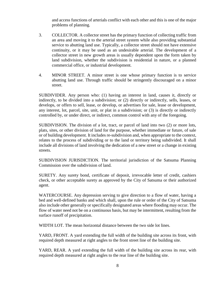and access functions of arterials conflict with each other and this is one of the major problems of planning.

- 3. COLLECTOR. A collector street has the primary function of collecting traffic from an area and moving it to the arterial street system while also providing substantial service to abutting land use. Typically, a collector street should not have extensive continuity, or it may be used as an undesirable arterial. The development of a collector street in new growth areas is usually dependent upon the form taken by land subdivision, whether the subdivision is residential in nature, or a planned commercial office, or industrial development.
- 4. MINOR STREET. A minor street is one whose primary function is to service abutting land use. Through traffic should be stringently discouraged on a minor street.

SUBDIVIDER. Any person who: (1) having an interest in land, causes it, directly or indirectly, to be divided into a subdivision; or (2) directly or indirectly, sells, leases, or develops, or offers to sell, lease, or develop, or advertises for sale, lease or development, any interest, lot, parcel, site, unit, or plat in a subdivision; or (3) is directly or indirectly controlled by, or under direct, or indirect, common control with any of the foregoing.

SUBDIVISION. The division of a lot, tract, or parcel of land into two (2) or more lots, plats, sites, or other division of land for the purpose, whether immediate or future, of sale or of building development. It includes re-subdivision and, when appropriate to the context, relates to the process of subdividing or to the land or territory being subdivided. It shall include all divisions of land involving the dedication of a new street or a change in existing streets.

SUBDIVISION JURISDICTION. The territorial jurisdiction of the Satsuma Planning Commission over the subdivision of land.

SURETY. Any surety bond, certificate of deposit, irrevocable letter of credit, cashiers check, or other acceptable surety as approved by the City of Satsuma or their authorized agent.

WATERCOURSE. Any depression serving to give direction to a flow of water, having a bed and well-defined banks and which shall, upon the rule or order of the City of Satsuma also include other generally or specifically designated areas where flooding may occur. The flow of water need not be on a continuous basis, but may be intermittent, resulting from the surface runoff of precipitation.

WIDTH LOT. The mean horizontal distance between the two side lot lines.

YARD, FRONT. A yard extending the full width of the building site across its front, with required depth measured at right angles to the front street line of the building site.

YARD, REAR. A yard extending the full width of the building site across its rear, with required depth measured at right angles to the rear line of the building site.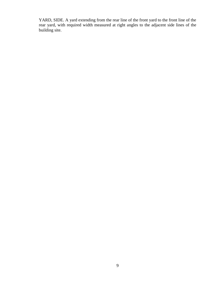YARD, SIDE. A yard extending from the rear line of the front yard to the front line of the rear yard, with required width measured at right angles to the adjacent side lines of the building site.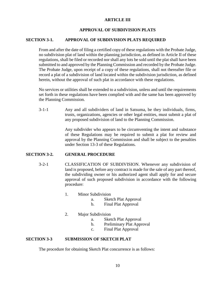# **ARTICLE III**

# **APPROVAL OF SUBDIVISION PLATS**

# **SECTION 3-1. APPROVAL OF SUBDIVISION PLATS REQUIRED**

From and after the date of filing a certified copy of these regulations with the Probate Judge, no subdivision plat of land within the planning jurisdiction, as defined in Article II of these regulations, shall be filed or recorded nor shall any lots be sold until the plat shall have been submitted to and approved by the Planning Commission and recorded by the Probate Judge. The Probate Judge, upon receipt of a copy of these regulations, shall not thereafter file or record a plat of a subdivision of land located within the subdivision jurisdiction, as defined herein, without the approval of such plat in accordance with these regulations.

No services or utilities shall be extended to a subdivision, unless and until the requirements set forth in these regulations have been complied with and the same has been approved by the Planning Commission.

3-1-1 Any and all subdividers of land in Satsuma, be they individuals, firms, trusts, organizations, agencies or other legal entities, must submit a plat of any proposed subdivision of land to the Planning Commission.

> Any subdivider who appears to be circumventing the intent and substance of these Regulations may be required to submit a plat for review and approval by the Planning Commission and shall be subject to the penalties under Section 13-3 of these Regulations.

# **SECTION 3-2. GENERAL PROCEDURE**

- 3-2-1 CLASSIFICATION OF SUBDIVISION. Whenever any subdivision of land is proposed, before any contract is made for the sale of any part thereof, the subdividing owner or his authorized agent shall apply for and secure approval of such proposed subdivision in accordance with the following procedure:
	- 1. Minor Subdivision
		- a. Sketch Plat Approval
		- b. Final Plat Approval
	- 2. Major Subdivision
		- a. Sketch Plat Approval
		- b. Preliminary Plat Approval
		- c. Final Plat Approval

# **SECTION 3-3 SUBMISSION OF SKETCH PLAT**

The procedure for obtaining Sketch Plat concurrence is as follows: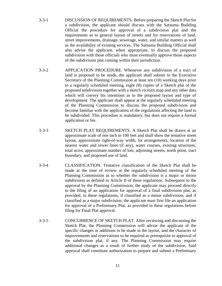- 3-3-1 DISCUSSION OF REQUIREMENTS. Before preparing the Sketch Plat for a subdivision, the applicant should discuss with the Satsuma Building Official the procedure for approval of a subdivision plat and the requirements as to general layout of streets and for reservations of land, street improvements, drainage, sewerage, water, and similar matters as well as the availability of existing services. The Satsuma Building Official shall also advise the applicant, when appropriate, to discuss the proposed subdivision with those officials who must eventually approve those aspects of the subdivision plat coming within their jurisdiction.
- 3-3-2 APPLICATION PROCEDURE. Whenever any subdivision of a tract of land is proposed to be made, the applicant shall submit to the Executive Secretary of the Planning Commission at least ten (10) working days prior to a regularly scheduled meeting, eight (8) copies of a Sketch plat of the proposed subdivision together with a sketch vicinity map and any other data which will convey his intentions as to the proposed layout and type of development. The applicant shall appear at the regularly scheduled meeting of the Planning Commission to discuss the proposed subdivision and become familiar with the application of the regulations affecting the land to be subdivided. This procedure is mandatory, but does not require a formal application or fee.
- 3-3-3 SKETCH PLAT REQUIREMENTS. A Sketch Plat shall be drawn at an approximate scale of one inch to 100 feet and shall show the tentative street layout, approximate right-of-way width, lot arrangements, location of the nearest water and sewer lines (if any), water courses, existing structures, total acres, approximate number of lots, adjoining streets, north point, tract boundary, and proposed use of land.
- 3-3-4 CLASSIFICATION. Tentative classification of the Sketch Plat shall be made at the time of review at the regularly scheduled meeting of the Planning Commission as to whether the subdivision is a major or minor subdivision as defined in Article II of these regulations. Subsequent to the approval by the Planning Commission, the applicant may proceed directly to the filing of an application for approval of a final subdivision plat, as provided, in these regulations, if classified as a minor subdivision; and if classified as a major subdivision, the applicant must first file an application for approval of a Preliminary Plat, as provided in these regulations before filing for Final Plat approval.
- 3-3-5 CONCURRENCE OF SKETCH PLAT. After reviewing and discussing the Sketch Plat, the Planning Commission will advise the applicant of the specific changes or additions to be made in the layout, and the character of improvements and reservations to be required as prerequisite to approval of the subdivision plat, if any. The Planning Commission may require additional changes as a result of further study of the subdivision. Said approval shall constitute authorization to prepare and submit a Preliminary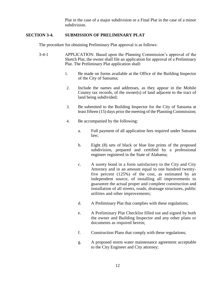Plat in the case of a major subdivision or a Final Plat in the case of a minor subdivision.

# **SECTION 3-4. SUBMISSION OF PRELIMINARY PLAT**

The procedure for obtaining Preliminary Plat approval is as follows:

- 3-4-1 APPLICATION. Based upon the Planning Commission's approval of the Sketch Plat, the owner shall file an application for approval of a Preliminary Plat. The Preliminary Plat application shall:
	- 1. Be made on forms available at the Office of the Building Inspector of the City of Satsuma;
	- 2. Include the names and addresses, as they appear in the Mobile County tax records, of the owner(s) of land adjacent to the tract of land being subdivided;
	- 3. Be submitted to the Building Inspector for the City of Satsuma at least fifteen (15) days prior the meeting of the Planning Commission;
	- 4. Be accompanied by the following:
		- a. Full payment of all application fees required under Satsuma law;
		- b. Eight (8) sets of black or blue line prints of the proposed subdivision, prepared and certified by a professional engineer registered in the State of Alabama;
		- c. A surety bond in a form satisfactory to the City and City Attorney and in an amount equal to one hundred twentyfive percent (125%) of the cost, as estimated by an independent source, of installing all improvements to guarantee the actual proper and complete construction and installation of all streets, roads, drainage structures, public utilities and other improvements;
		- d. A Preliminary Plat that complies with these regulations;
		- e. A Preliminary Plat Checklist filled out and signed by both the owner and Building Inspector and any other plans or documents as required herein;
		- f. Construction Plans that comply with these regulations;
		- g. A proposed storm water maintenance agreement acceptable to the City Engineer and City attorney;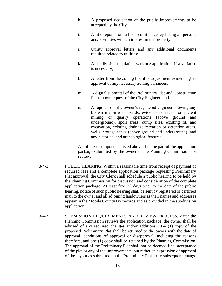- h. A proposed dedication of the public improvements to be accepted by the City;
- i. A title report from a licensed title agency listing all persons and/or entities with an interest in the property;
- j. Utility approval letters and any additional documents required related to utilities;
- k. A subdivision regulation variance application, if a variance is necessary;
- l. A letter from the zoning board of adjustment evidencing its approval of any necessary zoning variances;
- m. A digital submittal of the Preliminary Plat and Construction Plans upon request of the City Engineer; and
- n. A report from the owner's registered engineer showing any known man-made hazards, evidence of recent or ancient mining or quarry operations (above ground and underground), spoil areas, dump sites, existing fill and excavation, existing drainage retention or detention areas, wells, storage tanks (above ground and underground), and any historical and archeological features.

All of these components listed above shall be part of the application package submitted by the owner to the Planning Commission for review.

- 3-4-2 PUBLIC HEARING. Within a reasonable time from receipt of payment of required fees and a complete application package requesting Preliminary Plat approval, the City Clerk shall schedule a public hearing to be held by the Planning Commission for discussion and consideration of the complete application package. At least five (5) days prior to the date of the public hearing, notice of such public hearing shall be sent by registered or certified mail to the owner and all adjoining landowners as their names and addresses appear in the Mobile County tax records and as provided in the subdivision application.
- 3-4-3 SUBMISSION REQUIREMENTS AND REVIEW PROCESS. After the Planning Commission reviews the application package, the owner shall be advised of any required changes and/or additions. One (1) copy of the proposed Preliminary Plat shall be returned to the owner with the date of approval, conditions of approval or disapproval, including the reasons therefore, and one (1) copy shall be retained by the Planning Commission. The approval of the Preliminary Plat shall not be deemed final acceptance of the plat or any of the improvements, but rather an expression of approval of the layout as submitted on the Preliminary Plat. Any subsequent change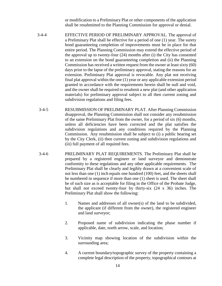or modification to a Preliminary Plat or other components of the application shall be resubmitted to the Planning Commission for approval or denial.

- 3-4-4 EFFECTIVE PERIOD OF PRELIMINARY APPROVAL. The approval of a Preliminary Plat shall be effective for a period of one (1) year. The surety bond guaranteeing completion of improvements must be in place for that entire period. The Planning Commission may extend the effective period of the approval up to twenty-four (24) months after (i) the City has consented to an extension on the bond guaranteeing completion and (ii) the Planning Commission has received a written request from the owner at least sixty (60) days prior to the lapse of the preliminary approval, stating the reasons for an extension. Preliminary Plat approval is revocable. Any plat not receiving final plat approval within the one (1) year or any applicable extension period granted in accordance with the requirements herein shall be null and void, and the owner shall be required to resubmit a new plat (and other application materials) for preliminary approval subject to all then current zoning and subdivision regulations and filing fees.
- 3-4-5 RESUBMISSION OF PRELIMINARY PLAT. After Planning Commission disapproval, the Planning Commission shall not consider any resubmission of the same Preliminary Plat from the owner, for a period of six (6) months, unless all deficiencies have been corrected and the plat satisfies the subdivision regulations and any conditions required by the Planning Commission. Any resubmission shall be subject to (i) a public hearing set by the City Clerk, (ii) then current zoning and subdivision regulations and (iii) full payment of all required fees.
- 3-4-6 PRELIMINARY PLAT REQUIREMENTS. The Preliminary Plat shall be prepared by a registered engineer or land surveyor and demonstrate conformity to these regulations and any other applicable requirements. The Preliminary Plat shall be clearly and legibly drawn at a convenient scale of not less than one (1) inch equals one hundred (100) feet, and the sheets shall be numbered in sequence if more than one (1) sheet is used. The sheet shall be of such size as is acceptable for filing in the Office of the Probate Judge, but shall not exceed twenty-four by thirty-six (24 x 36) inches. The Preliminary Plat shall show the following:
	- 1. Names and addresses of all owner(s) of the land to be subdivided, the applicant (if different from the owner), the registered engineer and land surveyor;
	- 2. Proposed name of subdivision indicating the phase number if applicable, date, north arrow, scale, and location;
	- 3. Vicinity map showing location of the subdivision within the surrounding area;
	- 4. A current boundary/topographic survey of the property containing a complete legal description of the property, topographical contours at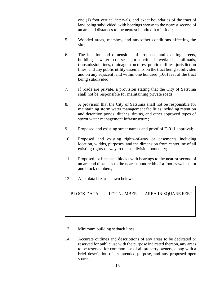one (1) foot vertical intervals, and exact boundaries of the tract of land being subdivided, with bearings shown to the nearest second of an arc and distances to the nearest hundredth of a foot;

- 5. Wooded areas, marshes, and any other conditions affecting the site;
- 6. The location and dimensions of proposed and existing streets, buildings, water courses, jurisdictional wetlands, railroads, transmission lines, drainage structures, public utilities, jurisdiction lines, and any public utility easements on the tract being subdivided and on any adjacent land within one hundred (100) feet of the tract being subdivided;
- 7. If roads are private, a provision stating that the City of Satsuma shall not be responsible for maintaining private roads;
- 8. A provision that the City of Satsuma shall not be responsible for maintaining storm water management facilities including retention and detention ponds, ditches, drains, and other approved types of storm water management infrastructure;
- 9. Proposed and existing street names and proof of E-911 approval;
- 10. Proposed and existing rights-of-way or easements including location, widths, purposes, and the dimension from centerline of all existing rights-of-way to the subdivision boundary;
- 11. Proposed lot lines and blocks with bearings to the nearest second of an arc and distances to the nearest hundredth of a foot as well as lot and block numbers;
- 12. A lot data box as shown below:

| <b>BLOCK DATA</b> | <b>LOT NUMBER</b> | AREA IN SQUARE FEET |
|-------------------|-------------------|---------------------|
|                   |                   |                     |
|                   |                   |                     |

- 13. Minimum building setback lines;
- 14. Accurate outlines and descriptions of any areas to be dedicated or reserved for public use with the purpose indicated thereon, any areas to be reserved for common use of all property owners, along with a brief description of its intended purpose, and any proposed open spaces;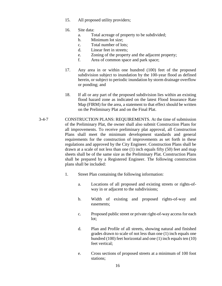15. All proposed utility providers;

# 16. Site data:

- a. Total acreage of property to be subdivided;
- b. Minimum lot size;
- c. Total number of lots;
- d. Linear feet in streets;
- e. Zoning of the property and the adjacent property;
- f. Area of common space and park space;
- 17. Any area in or within one hundred (100) feet of the proposed subdivision subject to inundation by the 100-year flood as defined herein, or subject to periodic inundation by storm drainage overflow or ponding; and
- 18. If all or any part of the proposed subdivision lies within an existing flood hazard zone as indicated on the latest Flood Insurance Rate Map (FIRM) for the area, a statement to that effect should be written on the Preliminary Plat and on the Final Plat.
- 3-4-7 CONSTRUCTION PLANS: REQUIREMENTS. At the time of submission of the Preliminary Plat, the owner shall also submit Construction Plans for all improvements. To receive preliminary plat approval, all Construction Plans shall meet the minimum development standards and general requirements for the construction of improvements as set forth in these regulations and approved by the City Engineer. Construction Plans shall be drawn at a scale of not less than one (1) inch equals fifty (50) feet and map sheets shall be of the same size as the Preliminary Plat. Construction Plans shall be prepared by a Registered Engineer. The following construction plans shall be included:
	- 1. Street Plan containing the following information:
		- a. Locations of all proposed and existing streets or rights-ofway in or adjacent to the subdivisions;
		- b. Width of existing and proposed rights-of-way and easements;
		- c. Proposed public street or private right-of-way access for each lot;
		- d. Plan and Profile of all streets, showing natural and finished grades drawn to scale of not less than one (1) inch equals one hundred (100) feet horizontal and one (1) inch equals ten (10) feet vertical;
		- e. Cross sections of proposed streets at a minimum of 100 foot stations;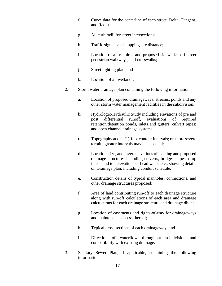- f. Curve data for the centerline of each street: Delta, Tangent, and Radius;
- g. All curb radii for street intersections;
- h. Traffic signals and stopping site distance;
- i. Location of all required and proposed sidewalks, off-street pedestrian walkways, and crosswalks;
- j. Street lighting plan; and
- k. Location of all wetlands.
- 2. Storm water drainage plan containing the following information:
	- a. Location of proposed drainageways, streams, ponds and any other storm water management facilities in the subdivision;
	- b. Hydrologic-Hydraulic Study including elevations of pre and post differential runoff, evaluations of required retention/detention ponds, inlets and gutters, culvert pipes; and open channel drainage systems;
	- c. Topography at one (1)-foot contour intervals; on more severe terrain, greater intervals may be accepted;
	- d. Location, size, and invert elevations of existing and proposed drainage structures including culverts, bridges, pipes, drop inlets, and top elevations of head walls, etc., showing details on Drainage plan, including conduit schedule;
	- e. Construction details of typical manholes, connections, and other drainage structures proposed;
	- f. Area of land contributing run-off to each drainage structure along with run-off calculations of each area and drainage calculations for each drainage structure and drainage ditch;
	- g. Location of easements and rights-of-way for drainageways and maintenance access thereof;
	- h. Typical cross sections of each drainageway; and
	- i. Direction of waterflow throughout subdivision and compatibility with existing drainage.
- 3. Sanitary Sewer Plan, if applicable, containing the following information: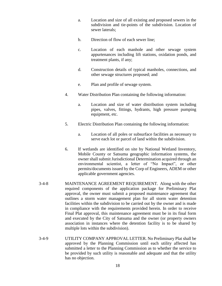- a. Location and size of all existing and proposed sewers in the subdivision and tie-points of the subdivision. Location of sewer laterals;
- b. Direction of flow of each sewer line;
- c. Location of each manhole and other sewage system appurtenances including lift stations, oxidation ponds, and treatment plants, if any;
- d. Construction details of typical manholes, connections, and other sewage structures proposed; and
- e. Plan and profile of sewage system.
- 4. Water Distribution Plan containing the following information:
	- a. Location and size of water distribution system including pipes, valves, fittings, hydrants, high pressure pumping equipment, etc.
- 5. Electric Distribution Plan containing the following information:
	- a. Location of all poles or subsurface facilities as necessary to serve each lot or parcel of land within the subdivision.
- 6. If wetlands are identified on site by National Wetland Inventory, Mobile County or Satsuma geographic information systems, the owner shall submit Jurisdictional Determination acquired through an environmental scientist, a letter of "No Impact", or other permits/documents issued by the Corp of Engineers, ADEM or other applicable government agencies.
- 3-4-8 MAINTENANCE AGREEMENT REQUIREMENT. Along with the other required components of the application package for Preliminary Plat approval, the owner must submit a proposed maintenance agreement that outlines a storm water management plan for all storm water detention facilities within the subdivision to be carried out by the owner and is made in compliance with the requirements provided herein. In order to receive Final Plat approval, this maintenance agreement must be in its final form and executed by the City of Satsuma and the owner (or property owners association in instances where the detention facility is to be shared by multiple lots within the subdivision).
- 3-4-9 UTILITY COMPANY APPROVAL LETTER. No Preliminary Plat shall be approved by the Planning Commission until each utility affected has submitted a letter to the Planning Commission as to whether the service to be provided by such utility is reasonable and adequate and that the utility has no objection.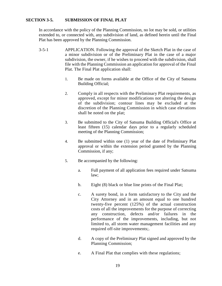# **SECTION 3-5. SUBMISSION OF FINAL PLAT**

In accordance with the policy of the Planning Commission, no lot may be sold, or utilities extended to, or connected with, any subdivision of land, as defined herein until the Final Plat has been approved by the Planning Commission.

- 3-5-1 APPLICATION. Following the approval of the Sketch Plat in the case of a minor subdivision or of the Preliminary Plat in the case of a major subdivision, the owner, if he wishes to proceed with the subdivision, shall file with the Planning Commission an application for approval of the Final Plat. The Final Plat application shall:
	- 1. Be made on forms available at the Office of the City of Satsuma Building Official;
	- 2. Comply in all respects with the Preliminary Plat requirements, as approved, except for minor modifications not altering the design of the subdivision; contour lines may be excluded at the discretion of the Planning Commission in which case elevations shall be noted on the plat;
	- 3. Be submitted to the City of Satsuma Building Official's Office at least fifteen (15) calendar days prior to a regularly scheduled meeting of the Planning Commission;
	- 4. Be submitted within one (1) year of the date of Preliminary Plat approval or within the extension period granted by the Planning Commission, if any;
	- 5. Be accompanied by the following:
		- a. Full payment of all application fees required under Satsuma law;
		- b. Eight (8) black or blue line prints of the Final Plat;
		- c. A surety bond, in a form satisfactory to the City and the City Attorney and in an amount equal to one hundred twenty-five percent (125%) of the actual construction costs of all the improvements for the purpose of correcting any construction, defects and/or failures in the performance of the improvements, including, but not limited to, all storm water management facilities and any required off-site improvements;.
		- d. A copy of the Preliminary Plat signed and approved by the Planning Commission;
		- e. A Final Plat that complies with these regulations;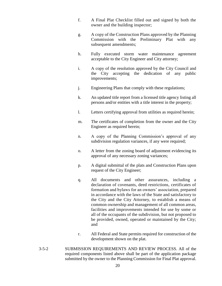- f. A Final Plat Checklist filled out and signed by both the owner and the building inspector;
- g. A copy of the Construction Plans approved by the Planning Commission with the Preliminary Plat with any subsequent amendments;
- h. Fully executed storm water maintenance agreement acceptable to the City Engineer and City attorney;
- i. A copy of the resolution approved by the City Council and the City accepting the dedication of any public improvements;
- j. Engineering Plans that comply with these regulations;
- k. An updated title report from a licensed title agency listing all persons and/or entities with a title interest in the property;
- l. Letters certifying approval from utilities as required herein;
- m. The certificates of completion from the owner and the City Engineer as required herein;
- n. A copy of the Planning Commission's approval of any subdivision regulation variances, if any were required;
- o. A letter from the zoning board of adjustment evidencing its approval of any necessary zoning variances;
- p. A digital submittal of the plats and Construction Plans upon request of the City Engineer;
- q. All documents and other assurances, including a declaration of covenants, deed restrictions, certificates of formation and bylaws for an owners' association, prepared in accordance with the laws of the State and satisfactory to the City and the City Attorney, to establish a means of common ownership and management of all common areas, facilities and improvements intended for use by some or all of the occupants of the subdivision, but not proposed to be provided, owned, operated or maintained by the City; and
- r. All Federal and State permits required for construction of the development shown on the plat.
- 3-5-2 SUBMISSION REQUIREMENTS AND REVIEW PROCESS. All of the required components listed above shall be part of the application package submitted by the owner to the Planning Commission for Final Plat approval.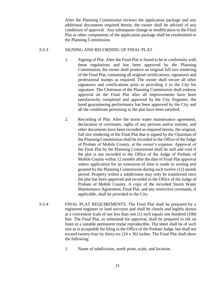After the Planning Commission reviews the application package and any additional documents required herein, the owner shall be advised of any conditions of approval. Any subsequent change or modification to the Final Plat or other components of the application package shall be resubmitted to the Planning Commission.

### 3-5-3 SIGNING AND RECORDING OF FINAL PLAT

- 1. Signing of Plat. After the Final Plat is found to be in conformity with these regulations and has been approved by the Planning Commission, the owner shall produce an original full size rendering of the Final Plat, containing all original certifications, signatures and professional stamps as required. The owner shall secure all other signatures and certifications prior to providing it to the City for signature. The Chairman of the Planning Commission shall endorse approval on the Final Plat after all improvements have been satisfactorily completed and approved by the City Engineer, the bond guaranteeing performance has been approved by the City and all the conditions pertaining to the plat have been satisfied.
- 2. Recording of Plat. After the storm water maintenance agreement, declaration of covenants, rights of any persons and/or entities, and other documents have been recorded as required herein, the original, full size rendering of the Final Plat that is signed by the Chairman of the Planning Commission shall be recorded in the Office of the Judge of Probate of Mobile County, at the owner's expense. Approval of the Final Plat by the Planning Commission shall be null and void if the plat is not recorded in the Office of the Judge of Probate of Mobile County within 12 months after the date of Final Plat approval unless application for an extension of time is made in writing and granted by the Planning Commission during such twelve (12) month period. Property within a subdivision may only be transferred once the plat has been approved and recorded in the Office of the Judge of Probate of Mobile County. A copy of the recorded Storm Water Maintenance Agreement, Final Plat, and any restrictive covenants, if applicable, shall be provided to the City.
- 3-5-4 FINAL PLAT REQUIREMENTS. The Final Plat shall be prepared by a registered engineer or land surveyor and shall be clearly and legibly drawn at a convenient scale of not less than one (1) inch equals one hundred (100) feet. The Final Plat, as submitted for approval, shall be prepared in ink on linen or a suitable permanent mylar reproducible. The sheet shall be of such size as is acceptable for filing in the Office of the Probate Judge, but shall not exceed twenty-four by thirty-six (24 x 36) inches. The Final Plat shall show the following:
	- 1. Name of subdivision, north point, scale, and location.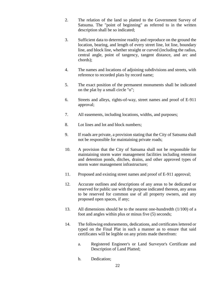- 2. The relation of the land so platted to the Government Survey of Satsuma. The "point of beginning" as referred to in the written description shall be so indicated;
- 3. Sufficient data to determine readily and reproduce on the ground the location, bearing, and length of every street line, lot line, boundary line, and block line, whether straight or curved (including the radius, central angle, point of tangency, tangent distance, and arc and chords);
- 4. The names and locations of adjoining subdivisions and streets, with reference to recorded plats by record name;
- 5. The exact position of the permanent monuments shall be indicated on the plat by a small circle "o";
- 6. Streets and alleys, rights-of-way, street names and proof of E-911 approval;
- 7. All easements, including locations, widths, and purposes;
- 8. Lot lines and lot and block numbers;
- 9. If roads are private, a provision stating that the City of Satsuma shall not be responsible for maintaining private roads;
- 10. A provision that the City of Satsuma shall not be responsible for maintaining storm water management facilities including retention and detention ponds, ditches, drains, and other approved types of storm water management infrastructure;
- 11. Proposed and existing street names and proof of E-911 approval;
- 12. Accurate outlines and descriptions of any areas to be dedicated or reserved for public use with the purpose indicated thereon, any areas to be reserved for common use of all property owners, and any proposed open spaces, if any;
- 13. All dimensions should be to the nearest one-hundredth (1/100) of a foot and angles within plus or minus five (5) seconds;
- 14. The following endorsements, dedications, and certificates lettered or typed on the Final Plat in such a manner as to ensure that said certificates will be legible on any prints made therefrom:
	- a. Registered Engineer's or Land Surveyor's Certificate and Description of Land Platted;
	- b. Dedication;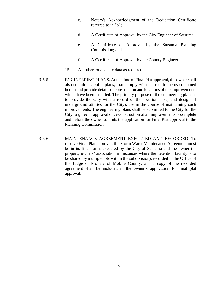- c. Notary's Acknowledgment of the Dedication Certificate referred to in "b";
- d. A Certificate of Approval by the City Engineer of Satsuma;
- e. A Certificate of Approval by the Satsuma Planning Commission; and
- f. A Certificate of Approval by the County Engineer.
- 15. All other lot and site data as required.
- 3-5-5 ENGINEERING PLANS. At the time of Final Plat approval, the owner shall also submit "as built" plans, that comply with the requirements contained herein and provide details of construction and locations of the improvements which have been installed. The primary purpose of the engineering plans is to provide the City with a record of the location, size, and design of underground utilities for the City's use in the course of maintaining such improvements. The engineering plans shall be submitted to the City for the City Engineer's approval once construction of all improvements is complete and before the owner submits the application for Final Plat approval to the Planning Commission.
- 3-5-6 MAINTENANCE AGREEMENT EXECUTED AND RECORDED. To receive Final Plat approval, the Storm Water Maintenance Agreement must be in its final form, executed by the City of Satsuma and the owner (or property owners' association in instances where the detention facility is to be shared by multiple lots within the subdivision), recorded in the Office of the Judge of Probate of Mobile County, and a copy of the recorded agreement shall be included in the owner's application for final plat approval.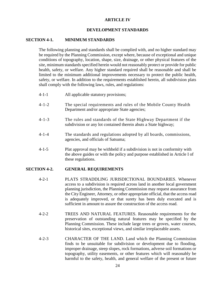# **ARTICLE IV**

# **DEVELOPMENT STANDARDS**

# **SECTION 4-1. MINIMUM STANDARDS**

The following planning and standards shall be complied with, and no higher standard may be required by the Planning Commission, except where, because of exceptional and unique conditions of topography, location, shape, size, drainage, or other physical features of the site, minimum standards specified herein would not reasonably protect or provide for public health, safety, or welfare. Any higher standard required shall be reasonable and shall be limited to the minimum additional improvements necessary to protect the public health, safety, or welfare. In addition to the requirements established herein, all subdivision plats shall comply with the following laws, rules, and regulations:

- 4-1-1 All applicable statutory provisions;
- 4-1-2 The special requirements and rules of the Mobile County Health Department and/or appropriate State agencies;
- 4-1-3 The rules and standards of the State Highway Department if the subdivision or any lot contained therein abuts a State highway;
- 4-1-4 The standards and regulations adopted by all boards, commissions, agencies, and officials of Satsuma;
- 4-1-5 Plat approval may be withheld if a subdivision is not in conformity with the above guides or with the policy and purpose established in Article I of these regulations.

#### **SECTION 4-2. GENERAL REQUIREMENTS**

- 4-2-1 PLATS STRADDLING JURISDICTIONAL BOUNDARIES. Whenever access to a subdivision is required across land in another local government planning jurisdiction, the Planning Commission may request assurance from the City Engineer, Attorney, or other appropriate official, that the access road is adequately improved, or that surety has been duly executed and is sufficient in amount to assure the construction of the access road.
- 4-2-2 TREES AND NATURAL FEATURES. Reasonable requirements for the preservation of outstanding natural features may be specified by the Planning Commission. These include large trees or groves, water courses, historical sites, exceptional views, and similar irreplaceable assets.
- 4-2-3 CHARACTER OF THE LAND. Land which the Planning Commission finds to be unsuitable for subdivision or development due to flooding, improper drainage, steep slopes, rock formations, adverse soil formations or topography, utility easements, or other features which will reasonably be harmful to the safety, health, and general welfare of the present or future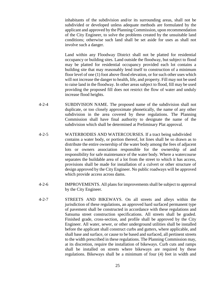inhabitants of the subdivision and/or its surrounding areas, shall not be subdivided or developed unless adequate methods are formulated by the applicant and approved by the Planning Commission, upon recommendation of the City Engineer, to solve the problems created by the unsuitable land conditions; otherwise such land shall be set aside for uses as shall not involve such a danger.

Land within any Floodway District shall not be platted for residential occupancy or building sites. Land outside the floodway, but subject to flood may be platted for residential occupancy provided each lot contains a building site that may reasonably lend itself to construction of a minimum floor level of one (1) foot above flood elevation, or for such other uses which will not increase the danger to health, life, and property. Fill may not be used to raise land in the floodway. In other areas subject to flood, fill may be used providing the proposed fill does not restrict the flow of water and unduly increase flood heights.

- 4-2-4 SUBDIVISION NAME. The proposed name of the subdivision shall not duplicate, or too closely approximate phonetically, the name of any other subdivision in the area covered by these regulations. The Planning Commission shall have final authority to designate the name of the subdivision which shall be determined at Preliminary Plat approval.
- 4-2-5 WATERBODIES AND WATERCOURSES. If a tract being subdivided contains a water body, or portion thereof, lot lines shall be so drawn as to distribute the entire ownership of the water body among the fees of adjacent lots or owners association responsible for the ownership of and responsibility for safe maintenance of the water body. Where a watercourse separates the buildable area of a lot from the street to which it has access, provisions shall be made for installation of a culvert or other structure of design approved by the City Engineer. No public roadways will be approved which provide access across dams.
- 4-2-6 IMPROVEMENTS. All plans for improvements shall be subject to approval by the City Engineer.
- 4-2-7 STREETS AND BIKEWAYS. On all streets and alleys within the jurisdiction of these regulations, an approved hard surfaced permanent type of pavement shall be constructed in accordance with these regulations and Satsuma street construction specifications. All streets shall be graded. Finished grade, cross-section, and profile shall be approved by the City Engineer. All water, sewer, or other underground utilities shall be installed before the applicant shall construct curbs and gutters, where applicable, and shall base and surface, or cause to be based and surfaced, all pertinent streets to the width prescribed in these regulations. The Planning Commission may, at its discretion, require the installation of bikeways. Curb cuts and ramps shall be installed on streets where bikeways are required by these regulations. Bikeways shall be a minimum of four (4) feet in width and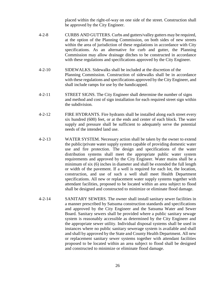placed within the right-of-way on one side of the street. Construction shall be approved by the City Engineer.

- 4-2-8 CURBS AND GUTTERS. Curbs and gutters/valley gutters may be required, at the option of the Planning Commission, on both sides of new streets within the area of jurisdiction of these regulations in accordance with City specifications. As an alternative for curb and gutter, the Planning Commission may allow drainage ditches to be constructed in accordance with these regulations and specifications approved by the City Engineer.
- 4-2-10 SIDEWALKS. Sidewalks shall be included at the discretion of the Planning Commission. Construction of sidewalks shall be in accordance with these regulations and specifications approved by the City Engineer, and shall include ramps for use by the handicapped.
- 4-2-11 STREET SIGNS. The City Engineer shall determine the number of signs and method and cost of sign installation for each required street sign within the subdivision.
- 4-2-12 FIRE HYDRANTS. Fire hydrants shall be installed along each street every six hundred (600) feet, or at the ends and center of each block. The water supply and pressure shall be sufficient to adequately serve the potential needs of the intended land use.
- 4-2-13 WATER SYSTEM. Necessary action shall be taken by the owner to extend the public/private water supply system capable of providing domestic water use and fire protection. The design and specifications of the water distribution systems shall meet the appropriate public water system requirements and approved by the City Engineer. Water mains shall be a minimum of six (6) inches in diameter and shall be extended the full length or width of the pavement. If a well is required for each lot, the location, construction, and use of such a well shall meet Health Department specifications. All new or replacement water supply systems together with attendant facilities, proposed to be located within an area subject to flood shall be designed and constructed to minimize or eliminate flood damage.
- 4-2-14 SANITARY SEWERS. The owner shall install sanitary sewer facilities in a manner prescribed by Satsuma construction standards and specifications and approved by the City Engineer and the Satsuma Water and Sewer Board. Sanitary sewers shall be provided where a public sanitary sewage system is reasonably accessible as determined by the City Engineer and the appropriate sewer utility. Individual disposal systems shall be used in instances where no public sanitary sewerage system is available and shall and shall by approved by the State and County Health Department. All new or replacement sanitary sewer systems together with attendant facilities proposed to be located within an area subject to flood shall be designed and constructed to minimize or eliminate flood damage.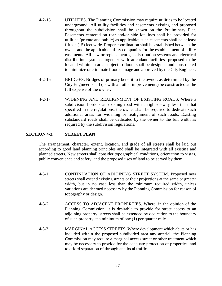- 4-2-15 UTILITIES. The Planning Commission may require utilities to be located underground. All utility facilities and easements existing and proposed throughout the subdivision shall be shown on the Preliminary Plat. Easements centered on rear and/or side lot lines shall be provided for utilities (private and public) as applicable; such easements shall be at least fifteen (15) feet wide. Proper coordination shall be established between the owner and the applicable utility companies for the establishment of utility easements. All new or replacement gas distribution systems and electrical distribution systems, together with attendant facilities, proposed to be located within an area subject to flood, shall be designed and constructed to minimize or eliminate flood damage and approved by the City Engineer.
- 4-2-16 BRIDGES. Bridges of primary benefit to the owner, as determined by the City Engineer, shall (as with all other improvements) be constructed at the full expense of the owner.
- 4-2-17 WIDENING AND REALIGNMENT OF EXISTING ROADS. Where a subdivision borders an existing road with a right-of-way less than that specified in the regulations, the owner shall be required to dedicate such additional areas for widening or realignment of such roads. Existing substandard roads shall be dedicated by the owner to the full width as required by the subdivision regulations.

# **SECTION 4-3. STREET PLAN**

The arrangement, character, extent, location, and grade of all streets shall be laid out according to good land planning principles and shall be integrated with all existing and planned streets. New streets shall consider topographical conditions, orientation to vistas, public convenience and safety, and the proposed uses of land to be served by them.

- 4-3-1 CONTINUATION OF ADJOINING STREET SYSTEM. Proposed new streets shall extend existing streets or their projections at the same or greater width, but in no case less than the minimum required width, unless variations are deemed necessary by the Planning Commission for reason of topography or design.
- 4-3-2 ACCESS TO ADJACENT PROPERTIES. Where, in the opinion of the Planning Commission, it is desirable to provide for street access to an adjoining property, streets shall be extended by dedication to the boundary of such property at a minimum of one (1) per quarter mile.
- 4-3-3 MARGINAL ACCESS STREETS. Where development which abuts or has included within the proposed subdivided area any arterial, the Planning Commission may require a marginal access street or other treatment which may be necessary to provide for the adequate protection of properties, and to afford separation of through and local traffic.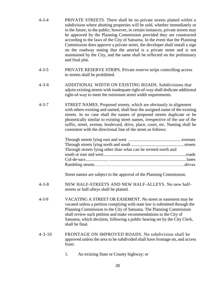- 4-3-4 PRIVATE STREETS. There shall be no private streets platted within a subdivision where abutting properties will be sold, whether immediately or in the future, to the public; however, in certain instances, private streets may be approved by the Planning Commission provided they are constructed according to the laws of the City of Satsuma. In the event that the Planning Commission does approve a private street, the developer shall install a sign on the roadway stating that the arterial is a private street and is not maintained by the City, and the same shall be reflected on the preliminary and final plat.
- 4-3-5 PRIVATE RESERVE STRIPS. Private reserve strips controlling access to streets shall be prohibited.
- 4-3-6 ADDITIONAL WIDTH ON EXISTING ROADS. Subdivisions that adjoin existing streets with inadequate right-of-way shall dedicate additional right-of-way to meet the minimum street width requirements.
- 4-3-7 STREET NAMES. Proposed streets, which are obviously in alignment with others existing and named, shall bear the assigned name of the existing streets. In no case shall the names of proposed streets duplicate or be phonetically similar to existing street names, irrespective of the use of the suffix, street, avenue, boulevard, drive, place, court, etc. Naming shall be consistent with the directional line of the street as follows:

| Through streets lying other than what can be termed north and |  |
|---------------------------------------------------------------|--|
|                                                               |  |
|                                                               |  |
|                                                               |  |

Street names are subject to the approval of the Planning Commission.

- 4-3-8 NEW HALF-STREETS AND NEW HALF-ALLEYS. No new halfstreets or half-alleys shall be platted.
- 4-3-9 VACATING A STREET OR EASEMENT. No street or easement may be vacated unless a petition complying with state law is submitted through the Planning Commission to the City of Satsuma. The Planning Commission shall review such petition and make recommendations to the City of Satsuma, which decision, following a public hearing set by the City Clerk, shall be final.
- 4-3-10 FRONTAGE ON IMPROVED ROADS. No subdivision shall be approved unless the area to be subdivided shall have frontage on, and access from:
	- 1. An existing State or County highway; or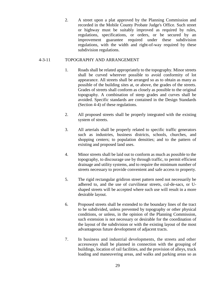2. A street upon a plat approved by the Planning Commission and recorded in the Mobile County Probate Judge's Office. Such street or highway must be suitably improved as required by rules, regulations, specifications, or orders, or be secured by an improvement guarantee required under these subdivision regulations, with the width and right-of-way required by these subdivision regulations.

# 4-3-11 TOPOGRAPHY AND ARRANGEMENT

- 1. Roads shall be related appropriately to the topography. Minor streets shall be curved wherever possible to avoid conformity of lot appearance. All streets shall be arranged so as to obtain as many as possible of the building sites at, or above, the grades of the streets. Grades of streets shall conform as closely as possible to the original topography. A combination of steep grades and curves shall be avoided. Specific standards are contained in the Design Standards (Section 4-4) of these regulations.
- 2. All proposed streets shall be properly integrated with the existing system of streets.
- 3. All arterials shall be properly related to specific traffic generators such as industries, business districts, schools, churches, and shopping centers; to population densities; and to the pattern of existing and proposed land uses.
- 4. Minor streets shall be laid out to conform as much as possible to the topography, to discourage use by through traffic, to permit efficient drainage and utility systems, and to require the minimum number of streets necessary to provide convenient and safe access to property.
- 5. The rigid rectangular gridiron street pattern need not necessarily be adhered to, and the use of curvilinear streets, cul-de-sacs, or Ushaped streets will be accepted where such use will result in a more desirable layout.
- 6. Proposed streets shall be extended to the boundary lines of the tract to be subdivided, unless prevented by topography or other physical conditions, or unless, in the opinion of the Planning Commission, such extension is not necessary or desirable for the coordination of the layout of the subdivision or with the existing layout of the most advantageous future development of adjacent tracts.
- 7. In business and industrial developments, the streets and other accessways shall be planned in connection with the grouping of buildings, location of rail facilities, and the provision of alleys, truck loading and maneuvering areas, and walks and parking areas so as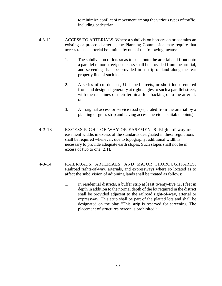to minimize conflict of movement among the various types of traffic, including pedestrian.

- 4-3-12 ACCESS TO ARTERIALS. Where a subdivision borders on or contains an existing or proposed arterial, the Planning Commission may require that access to such arterial be limited by one of the following means:
	- 1. The subdivision of lots so as to back onto the arterial and front onto a parallel minor street; no access shall be provided from the arterial, and screening shall be provided in a strip of land along the rear property line of such lots;
	- 2. A series of cul-de-sacs, U-shaped streets, or short loops entered from and designed generally at right angles to such a parallel street, with the rear lines of their terminal lots backing onto the arterial; or
	- 3. A marginal access or service road (separated from the arterial by a planting or grass strip and having access thereto at suitable points).
- 4-3-13 EXCESS RIGHT-OF-WAY OR EASEMENTS. Right-of-way or easement widths in excess of the standards designated in these regulations shall be required whenever, due to topography, additional width is necessary to provide adequate earth slopes. Such slopes shall not be in excess of two to one (2:1).
- 4-3-14 RAILROADS, ARTERIALS, AND MAJOR THOROUGHFARES. Railroad rights-of-way, arterials, and expressways where so located as to affect the subdivision of adjoining lands shall be treated as follows:
	- 1. In residential districts, a buffer strip at least twenty-five (25) feet in depth in addition to the normal depth of the lot required in the district shall be provided adjacent to the railroad right-of-way, arterial or expressway. This strip shall be part of the platted lots and shall be designated on the plat: "This strip is reserved for screening. The placement of structures hereon is prohibited";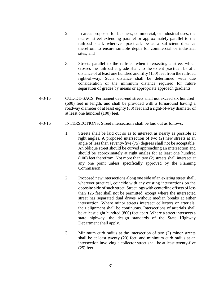- 2. In areas proposed for business, commercial, or industrial uses, the nearest street extending parallel or approximately parallel to the railroad shall, wherever practical, be at a sufficient distance therefrom to ensure suitable depth for commercial or industrial sites; and
- 3. Streets parallel to the railroad when intersecting a street which crosses the railroad at grade shall, to the extent practical, be at a distance of at least one hundred and fifty (150) feet from the railroad right-of-way. Such distance shall be determined with due consideration of the minimum distance required for future separation of grades by means or appropriate approach gradients.
- 4-3-15 CUL-DE-SACS. Permanent dead-end streets shall not exceed six hundred (600) feet in length, and shall be provided with a turnaround having a roadway diameter of at least eighty (80) feet and a right-of-way diameter of at least one hundred (100) feet.
- 4-3-16 INTERSECTIONS. Street intersections shall be laid out as follows:
	- 1. Streets shall be laid out so as to intersect as nearly as possible at right angles. A proposed intersection of two (2) new streets at an angle of less than seventy-five (75) degrees shall not be acceptable. An oblique street should be curved approaching an intersection and should be approximately at right angles for at least one hundred (100) feet therefrom. Not more than two (2) streets shall intersect at any one point unless specifically approved by the Planning Commission.
	- 2. Proposed new intersections along one side of an existing street shall, wherever practical, coincide with any existing intersections on the opposite side of such street. Street jogs with centerline offsets of less than 125 feet shall not be permitted, except where the intersected street has separated dual drives without median breaks at either intersection. Where minor streets intersect collectors or arterials, their alignment shall be continuous. Intersections of arterials shall be at least eight hundred (800) feet apart. Where a street intersects a state highway, the design standards of the State Highway Department shall apply.
	- 3. Minimum curb radius at the intersection of two (2) minor streets shall be at least twenty (20) feet; and minimum curb radius at an intersection involving a collector street shall be at least twenty-five (25) feet.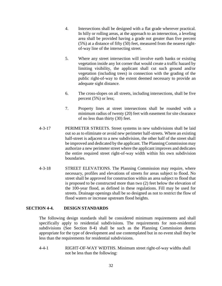- 4. Intersections shall be designed with a flat grade wherever practical. In hilly or rolling areas, at the approach to an intersection, a leveling area shall be provided having a grade not greater than five percent (5%) at a distance of fifty (50) feet, measured from the nearest rightof-way line of the intersecting street.
- 5. Where any street intersection will involve earth banks or existing vegetation inside any lot corner that would create a traffic hazard by limiting visibility, the applicant shall cut such ground and/or vegetation (including trees) in connection with the grading of the public right-of-way to the extent deemed necessary to provide an adequate sight distance.
- 6. The cross-slopes on all streets, including intersections, shall be five percent (5%) or less;
- 7. Property lines at street intersections shall be rounded with a minimum radius of twenty (20) feet with easement for site clearance of no less than thirty (30) feet.
- 4-3-17 PERIMETER STREETS. Street systems in new subdivisions shall be laid out so as to eliminate or avoid new perimeter half-streets. Where an existing half-street is adjacent to a new subdivision, the other half of the street shall be improved and dedicated by the applicant. The Planning Commission may authorize a new perimeter street where the applicant improves and dedicates the entire required street right-of-way width within his own subdivision boundaries.
- 4-3-18 STREET ELEVATIONS. The Planning Commission may require, where necessary, profiles and elevations of streets for areas subject to flood. No street shall be approved for construction within an area subject to flood that is proposed to be constructed more than two (2) feet below the elevation of the 100-year flood, as defined in these regulations. Fill may be used for streets. Drainage openings shall be so designed as not to restrict the flow of flood waters or increase upstream flood heights.

#### **SECTION 4-4. DESIGN STANDARDS**

The following design standards shall be considered minimum requirements and shall specifically apply to residential subdivisions. The requirements for non-residential subdivisions (See Section 8-4) shall be such as the Planning Commission deems appropriate for the type of development and use contemplated but in no event shall they be less than the requirements for residential subdivisions.

4-4-1 RIGHT-OF-WAY WIDTHS. Minimum street right-of-way widths shall not be less than the following: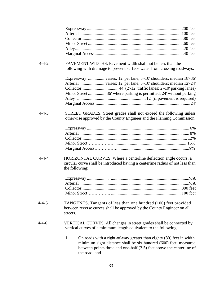| $4 - 4 - 2$ | PAVEMENT WIDTHS. Pavement width shall not be less than the<br>following with drainage to prevent surface water from crossing roadways:                                                                                                  |  |
|-------------|-----------------------------------------------------------------------------------------------------------------------------------------------------------------------------------------------------------------------------------------|--|
|             | Expressway varies; 12' per lane, 8'-10' shoulders; median 18'-36'<br>Arterial varies; 12' per lane, 8'-10' shoulders; median 12'-24'<br>Minor Street 36' where parking is permitted, 24' without parking                                |  |
| $4 - 4 - 3$ | STREET GRADES. Street grades shall not exceed the following unless<br>otherwise approved by the County Engineer and the Planning Commission:                                                                                            |  |
|             |                                                                                                                                                                                                                                         |  |
| $4 - 4 - 4$ | HORIZONTAL CURVES. Where a centerline deflection angle occurs, a<br>circular curve shall be introduced having a centerline radius of not less than<br>the following:                                                                    |  |
|             |                                                                                                                                                                                                                                         |  |
| $4 - 4 - 5$ | TANGENTS. Tangents of less than one hundred (100) feet provided<br>between reverse curves shall be approved by the County Engineer on all<br>streets.                                                                                   |  |
| $4 - 4 - 6$ | VERTICAL CURVES. All changes in street grades shall be connected by<br>vertical curves of a minimum length equivalent to the following:                                                                                                 |  |
|             | 1.<br>On roads with a right-of-way greater than eighty (80) feet in width,<br>minimum sight distance shall be six hundred (600) feet, measured<br>between points three and one-half (3.5) feet above the centerline of<br>the road; and |  |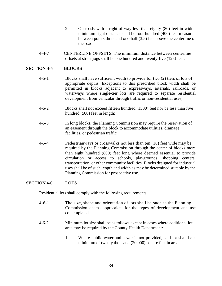- 2. On roads with a right-of way less than eighty (80) feet in width, minimum sight distance shall be four hundred (400) feet measured between points three and one-half (3.5) feet above the centerline of the road.
- 4-4-7 CENTERLINE OFFSETS. The minimum distance between centerline offsets at street jogs shall be one hundred and twenty-five (125) feet.

# **SECTION 4-5 BLOCKS**

- 4-5-1 Blocks shall have sufficient width to provide for two (2) tiers of lots of appropriate depths. Exceptions to this prescribed block width shall be permitted in blocks adjacent to expressways, arterials, railroads, or waterways where single-tier lots are required to separate residential development from vehicular through traffic or non-residential uses;
- 4-5-2 Blocks shall not exceed fifteen hundred (1500) feet nor be less than five hundred (500) feet in length;
- 4-5-3 In long blocks, the Planning Commission may require the reservation of an easement through the block to accommodate utilities, drainage facilities, or pedestrian traffic.
- 4-5-4 Pedestrianways or crosswalks not less than ten (10) feet wide may be required by the Planning Commission through the center of blocks more than eight hundred (800) feet long where deemed essential to provide circulation or access to schools, playgrounds, shopping centers, transportation, or other community facilities. Blocks designed for industrial uses shall be of such length and width as may be determined suitable by the Planning Commission for prospective use.

# **SECTION 4-6 LOTS**

Residential lots shall comply with the following requirements:

- 4-6-1 The size, shape and orientation of lots shall be such as the Planning Commission deems appropriate for the types of development and use contemplated.
- 4-6-2 Minimum lot size shall be as follows except in cases where additional lot area may be required by the County Health Department:
	- 1. Where public water and sewer is not provided, said lot shall be a minimum of twenty thousand (20,000) square feet in area.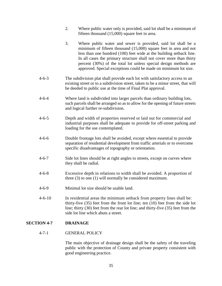|                    | 2. | Where public water only is provided, said lot shall be a minimum of<br>fifteen thousand (15,000) square feet in area.                                                                                                                                                                                                                                                                                                  |
|--------------------|----|------------------------------------------------------------------------------------------------------------------------------------------------------------------------------------------------------------------------------------------------------------------------------------------------------------------------------------------------------------------------------------------------------------------------|
|                    | 3. | Where public water and sewer is provided, said lot shall be a<br>minimum of fifteen thousand (15,000) square feet in area and not<br>less than one hundred (100) feet wide at the building setback line.<br>In all cases the primary structure shall not cover more than thirty<br>percent (30%) of the total lot unless special design methods are<br>approved. Special exceptions could be made on minimum lot size. |
| $4 - 6 - 3$        |    | The subdivision plat shall provide each lot with satisfactory access to an<br>existing street or to a subdivision street, taken to be a minor street, that will<br>be deeded to public use at the time of Final Plat approval.                                                                                                                                                                                         |
| $4 - 6 - 4$        |    | Where land is subdivided into larger parcels than ordinary building lots,<br>such parcels shall be arranged so as to allow for the opening of future streets<br>and logical further re-subdivision.                                                                                                                                                                                                                    |
| $4 - 6 - 5$        |    | Depth and width of properties reserved or laid out for commercial and<br>industrial purposes shall be adequate to provide for off-street parking and<br>loading for the use contemplated.                                                                                                                                                                                                                              |
| $4 - 6 - 6$        |    | Double frontage lots shall be avoided, except where essential to provide<br>separation of residential development from traffic arterials or to overcome<br>specific disadvantages of topography or orientation.                                                                                                                                                                                                        |
| $4 - 6 - 7$        |    | Side lot lines should be at right angles to streets, except on curves where<br>they shall be radial.                                                                                                                                                                                                                                                                                                                   |
| $4 - 6 - 8$        |    | Excessive depth in relations to width shall be avoided. A proportion of<br>three $(3)$ to one $(1)$ will normally be considered maximum.                                                                                                                                                                                                                                                                               |
| $4 - 6 - 9$        |    | Minimal lot size should be usable land.                                                                                                                                                                                                                                                                                                                                                                                |
| $4 - 6 - 10$       |    | In residential areas the minimum setback from property lines shall be:<br>thirty-five $(35)$ feet from the front lot line; ten $(10)$ feet from the side lot<br>line; thirty (30) feet from the rear lot line; and thirty-five (35) feet from the<br>side lot line which abuts a street.                                                                                                                               |
| <b>SECTION 4-7</b> |    | <b>DRAINAGE</b>                                                                                                                                                                                                                                                                                                                                                                                                        |
|                    |    |                                                                                                                                                                                                                                                                                                                                                                                                                        |

# 4-7-1 GENERAL POLICY

The main objective of drainage design shall be the safety of the traveling public with the protection of County and private property consistent with good engineering practice.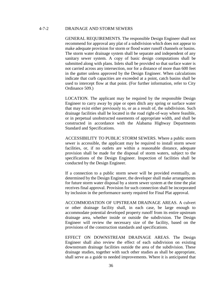# 4-7-2 DRAINAGE AND STORM SEWERS

GENERAL REQUIREMENTS. The responsible Design Engineer shall not recommend for approval any plat of a subdivision which does not appear to make adequate provision for storm or flood water runoff channels or basins. The storm water drainage system shall be separate and independent of any sanitary sewer system. A copy of basic design computations shall be submitted along with plans. Inlets shall be provided so that surface water is not carried across any intersection, nor for a distance of more than 600 feet in the gutter unless approved by the Design Engineer. When calculations indicate that curb capacities are exceeded at a point, catch basins shall be used to intercept flow at that point. (For further information, refer to City Ordinance 509.)

LOCATION. The applicant may be required by the responsible Design Engineer to carry away by pipe or open ditch any spring or surface water that may exist either previously to, or as a result of, the subdivision. Such drainage facilities shall be located in the road right-of-way where feasible, or in perpetual unobstructed easements of appropriate width, and shall be constructed in accordance with the Alabama Highway Departments Standard and Specifications.

ACCESSIBILITY TO PUBLIC STORM SEWERS. Where a public storm sewer is accessible, the applicant may be required to install storm sewer facilities, or, if no outlets are within a reasonable distance, adequate provision shall be made for the disposal of storm waters, subject to the specifications of the Design Engineer. Inspection of facilities shall be conducted by the Design Engineer.

If a connection to a public storm sewer will be provided eventually, as determined by the Design Engineer, the developer shall make arrangements for future storm water disposal by a storm sewer system at the time the plat receives final approval. Provision for such connection shall be incorporated by inclusion in the performance surety required for Final Plat approval.

ACCOMMODATION OF UPSTREAM DRAINAGE AREAS. A culvert or other drainage facility shall, in each case, be large enough to accommodate potential developed property runoff from its entire upstream drainage area, whether inside or outside the subdivision. The Design Engineer will review the necessary size of the facility, based on the provisions of the construction standards and specifications.

EFFECT ON DOWNSTREAM DRAINAGE AREAS. The Design Engineer shall also review the effect of each subdivision on existing downstream drainage facilities outside the area of the subdivision. These drainage studies, together with such other studies as shall be appropriate, shall serve as a guide to needed improvements. Where it is anticipated that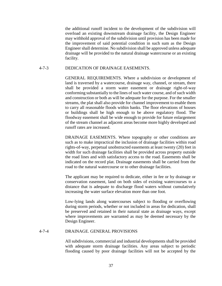the additional runoff incident to the development of the subdivision will overload an existing downstream drainage facility, the Design Engineer may withhold approval of the subdivision until provision has been made for the improvement of said potential condition in such sum as the Design Engineer shall determine. No subdivision shall be approved unless adequate drainage will be provided to the natural drainage watercourse or an existing facility.

# 4-7-3 DEDICATION OF DRAINAGE EASEMENTS.

GENERAL REQUIREMENTS. Where a subdivision or development of land is traversed by a watercourse, drainage way, channel, or stream, there shall be provided a storm water easement or drainage right-of-way conforming substantially to the lines of such water course, and of such width and construction or both as will be adequate for the purpose. For the smaller streams, the plat shall also provide for channel improvement to enable them to carry all reasonable floods within banks. The floor elevations of houses or buildings shall be high enough to be above regulatory flood. The floodway easement shall be wide enough to provide for future enlargement of the stream channel as adjacent areas become more highly developed and runoff rates are increased.

DRAINAGE EASEMENTS. Where topography or other conditions are such as to make impractical the inclusion of drainage facilities within road rights-of-way, perpetual unobstructed easements at least twenty (20) feet in width for such drainage facilities shall be provided across property outside the road lines and with satisfactory access to the road. Easements shall be indicated on the record plat. Drainage easements shall be carried from the road to the natural watercourse or to other drainage facilities.

The applicant may be required to dedicate, either in fee or by drainage or conservation easement, land on both sides of existing watercourses to a distance that is adequate to discharge flood waters without cumulatively increasing the water surface elevation more than one foot.

Low-lying lands along watercourses subject to flooding or overflowing during storm periods, whether or not included in areas for dedication, shall be preserved and retained in their natural state as drainage ways, except where improvements are warranted as may be deemed necessary by the Design Engineer.

#### 4-7-4 DRAINAGE. GENERAL PROVISIONS

All subdivisions, commercial and industrial developments shall be provided with adequate storm drainage facilities. Any areas subject to periodic flooding caused by poor drainage facilities will not be accepted by the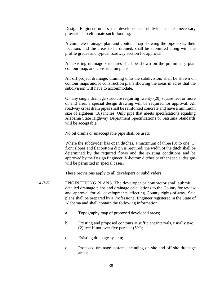Design Engineer unless the developer or subdivider makes necessary provisions to eliminate such flooding.

A complete drainage plan and contour map showing the pipe sizes, their locations and the areas to be drained, shall be submitted along with the profile grades and typical roadway section for approval.

All existing drainage structures shall be shown on the preliminary plat, contour map, and construction plans.

All off project drainage, draining onto the subdivision, shall be shown on contour maps and/or construction plans showing the areas in acres that the subdivision will have to accommodate.

On any single drainage structure requiring twenty (20) square feet or more of end area, a special design drawing will be required for approval. All roadway cross drain pipes shall be reinforced concrete and have a minimum size of eighteen (18) inches. Only pipe that meets specifications equaling Alabama State Highway Department Specifications or Satsuma Standards will be acceptable.

No oil drums or unacceptable pipe shall be used.

Where the subdivider has open ditches, a maximum of three (3) to one (1) front slopes and flat bottom ditch is required; the width of the ditch shall be determined by the required flows and the existing conditions and be approved by the Design Engineer. V-bottom ditches or other special designs will be permitted in special cases.

These provisions apply to all developers or subdividers.

- 4-7-5 ENGINEERING PLANS. The developer or contractor shall submit detailed drainage plans and drainage calculations to the County for review and approval for all developments affecting County rights-of-way. Said plans shall be prepared by a Professional Engineer registered in the State of Alabama and shall contain the following information:
	- a. Topography map of proposed developed areas;
	- b. Existing and proposed contours at sufficient intervals, usually two (2) feet if not over five percent (5%);
	- c. Existing drainage system;
	- d. Proposed drainage system, including on-site and off-site drainage areas;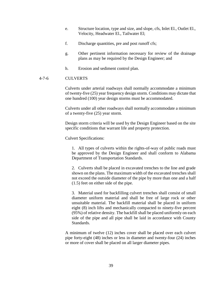- e. Structure location, type and size, and slope, cfs, Inlet El., Outlet El., Velocity, Headwater El., Tailwater El;
- f. Discharge quantities, pre and post runoff cfs;
- g. Other pertinent information necessary for review of the drainage plans as may be required by the Design Engineer; and
- h. Erosion and sediment control plan.

#### 4-7-6 CULVERTS

Culverts under arterial roadways shall normally accommodate a minimum of twenty-five (25) year frequency design storm. Conditions may dictate that one hundred (100) year design storms must be accommodated.

Culverts under all other roadways shall normally accommodate a minimum of a twenty-five (25) year storm.

Design storm criteria will be used by the Design Engineer based on the site specific conditions that warrant life and property protection.

Culvert Specifications:

1. All types of culverts within the rights-of-way of public roads must be approved by the Design Engineer and shall conform to Alabama Department of Transportation Standards.

2. Culverts shall be placed in excavated trenches to the line and grade shown on the plans. The maximum width of the excavated trenches shall not exceed the outside diameter of the pipe by more than one and a half (1.5) feet on either side of the pipe.

3. Material used for backfilling culvert trenches shall consist of small diameter uniform material and shall be free of large rock or other unsuitable material. The backfill material shall be placed in uniform eight (8) inch lifts and mechanically compacted to ninety-five percent (95%) of relative density. The backfill shall be placed uniformly on each side of the pipe and all pipe shall be laid in accordance with County Standards.

A minimum of twelve (12) inches cover shall be placed over each culvert pipe forty-eight (48) inches or less in diameter and twenty-four (24) inches or more of cover shall be placed on all larger diameter pipes.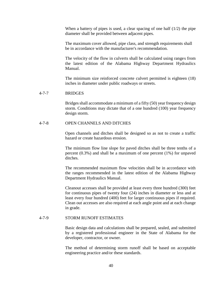When a battery of pipes is used, a clear spacing of one half  $(1/2)$  the pipe diameter shall be provided between adjacent pipes.

The maximum cover allowed, pipe class, and strength requirements shall be in accordance with the manufacturer's recommendation.

The velocity of the flow in culverts shall be calculated using ranges from the latest edition of the Alabama Highway Department Hydraulics Manual.

The minimum size reinforced concrete culvert permitted is eighteen (18) inches in diameter under public roadways or streets.

#### 4-7-7 BRIDGES

Bridges shall accommodate a minimum of a fifty (50) year frequency design storm. Conditions may dictate that of a one hundred (100) year frequency design storm.

#### 4-7-8 OPEN CHANNELS AND DITCHES

Open channels and ditches shall be designed so as not to create a traffic hazard or create hazardous erosion.

The minimum flow line slope for paved ditches shall be three tenths of a percent (0.3%) and shall be a maximum of one percent (1%) for unpaved ditches.

The recommended maximum flow velocities shall be in accordance with the ranges recommended in the latest edition of the Alabama Highway Department Hydraulics Manual.

Cleanout accesses shall be provided at least every three hundred (300) feet for continuous pipes of twenty four (24) inches in diameter or less and at least every four hundred (400) feet for larger continuous pipes if required. Clean out accesses are also required at each angle point and at each change in grade.

#### 4-7-9 STORM RUNOFF ESTIMATES

Basic design data and calculations shall be prepared, sealed, and submitted by a registered professional engineer in the State of Alabama for the developer, contractor, or owner.

The method of determining storm runoff shall be based on acceptable engineering practice and/or these standards.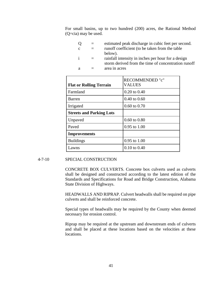For small basins, up to two hundred (200) acres, the Rational Method (Q=cia) may be used.

| estimated peak discharge in cubic feet per second.  |
|-----------------------------------------------------|
| runoff coefficient (to be taken from the table      |
| below).                                             |
| rainfall intensity in inches per hour for a design  |
| storm derived from the time of concentration runoff |
| area in acres                                       |
|                                                     |

|                                 | RECOMMENDED "c"         |
|---------------------------------|-------------------------|
| <b>Flat or Rolling Terrain</b>  | <b>VALUES</b>           |
| Farmland                        | $0.20$ to $0.40$        |
| Barren                          | $0.40$ to $0.60$        |
| Irrigated                       | $0.60$ to $0.70$        |
| <b>Streets and Parking Lots</b> |                         |
| Unpaved                         | $0.60 \text{ to } 0.80$ |
| Paved                           | $0.95$ to $1.00$        |
| <b>Improvements</b>             |                         |
| <b>Buildings</b>                | $0.95$ to $1.00$        |
| Lawns                           | $0.10 \text{ to } 0.40$ |

# 4-7-10 SPECIAL CONSTRUCTION

CONCRETE BOX CULVERTS. Concrete box culverts used as culverts shall be designed and constructed according to the latest edition of the Standards and Specifications for Road and Bridge Construction, Alabama State Division of Highways.

HEADWALLS AND RIPRAP. Culvert headwalls shall be required on pipe culverts and shall be reinforced concrete.

Special types of headwalls may be required by the County when deemed necessary for erosion control.

Riprap may be required at the upstream and downstream ends of culverts and shall be placed at these locations based on the velocities at these locations.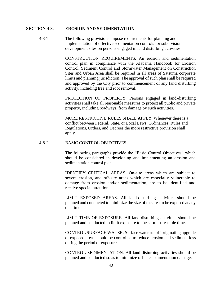#### **SECTION 4-8. EROSION AND SEDIMENTATION**

4-8-1 The following provisions impose requirements for planning and implementation of effective sedimentation controls for subdivision development sites on persons engaged in land disturbing activities.

> CONSTRUCTION REQUIREMENTS. An erosion and sedimentation control plan in compliance with the Alabama Handbook for Erosion Control, Sediment Control and Stormwater Management on Construction Sites and Urban Area shall be required in all areas of Satsuma corporate limits and planning jurisdiction. The approval of such plan shall be required and approved by the City prior to commencement of any land disturbing activity, including tree and root removal.

> PROTECTION OF PROPERTY. Persons engaged in land-disturbing activities shall take all reasonable measures to protect all public and private property, including roadways, from damage by such activities.

MORE RESTRICTIVE RULES SHALL APPLY. Whenever there is a conflict between Federal, State, or Local Laws, Ordinances, Rules and Regulations, Orders, and Decrees the more restrictive provision shall apply.

### 4-8-2 BASIC CONTROL OBJECTIVES

The following paragraphs provide the "Basic Control Objectives" which should be considered in developing and implementing an erosion and sedimentation control plan.

IDENTIFY CRITICAL AREAS. On-site areas which are subject to severe erosion, and off-site areas which are especially vulnerable to damage from erosion and/or sedimentation, are to be identified and receive special attention.

LIMIT EXPOSED AREAS. All land-disturbing activities should be planned and conducted to minimize the size of the area to be exposed at any one time.

LIMIT TIME OF EXPOSURE. All land-disturbing activities should be planned and conducted to limit exposure to the shortest feasible time.

CONTROL SURFACE WATER. Surface water runoff originating upgrade of exposed areas should be controlled to reduce erosion and sediment loss during the period of exposure.

CONTROL SEDIMENTATION. All land-disturbing activities should be planned and conducted so as to minimize off-site sedimentation damage.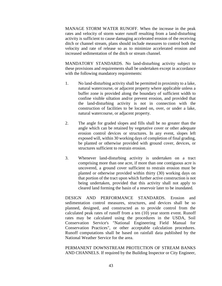MANAGE STORM WATER RUNOFF. When the increase in the peak rates and velocity of storm water runoff resulting from a land-disturbing activity is sufficient to cause damaging accelerated erosion of the receiving ditch or channel stream, plans should include measures to control both the velocity and rate of release so as to minimize accelerated erosion and increased sedimentation of the ditch or stream channel.

MANDATORY STANDARDS. No land-disturbing activity subject to these provisions and requirements shall be undertaken except in accordance with the following mandatory requirements:

- 1. No land-disturbing activity shall be permitted in proximity to a lake, natural watercourse, or adjacent property where applicable unless a buffer zone is provided along the boundary of sufficient width to confine visible siltation and/or prevent erosion, and provided that the land-disturbing activity is not in connection with the construction of facilities to be located on, over, or under a lake, natural watercourse, or adjacent property.
- 2. The angle for graded slopes and fills shall be no greater than the angle which can be retained by vegetative cover or other adequate erosion control devices or structures. In any event, slopes left exposed will, within 30 working days of completion of final grading, be planted or otherwise provided with ground cover, devices, or structures sufficient to restrain erosion.
- 3. Whenever land-disturbing activity is undertaken on a tract comprising more than one acre, if more than one contiguous acre is uncovered, a ground cover sufficient to restrain erosion must be planted or otherwise provided within thirty (30) working days on that portion of the tract upon which further active construction is not being undertaken, provided that this activity shall not apply to cleared land forming the basin of a reservoir later to be inundated.

DESIGN AND PERFORMANCE STANDARDS. Erosion and sedimentation control measures, structures, and devices shall be so planned, designed, and constructed as to provide control from the calculated peak rates of runoff from a ten (10) year storm event. Runoff rates may be calculated using the procedures in the USDA, Soil Conservation Service's "National Engineering Field Manual for Conservation Practices", or other acceptable calculation procedures. Runoff computations shall be based on rainfall data published by the National Weather Service for the area.

PERMANENT DOWNSTREAM PROTECTION OF STREAM BANKS AND CHANNELS. If required by the Building Inspector or City Engineer,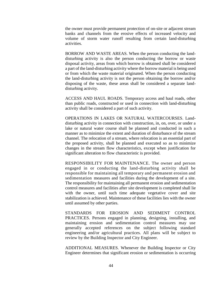the owner must provide permanent protection of on-site or adjacent stream banks and channels from the erosive effects of increased velocity and volume of storm water runoff resulting from certain land-disturbing activities.

BORROW AND WASTE AREAS. When the person conducting the landdisturbing activity is also the person conducting the borrow or waste disposal activity, areas from which borrow is obtained shall be considered a part of the land-disturbing activity where the borrow material is being used or from which the waste material originated. When the person conducting the land-disturbing activity is not the person obtaining the borrow and/or disposing of the waste, these areas shall be considered a separate landdisturbing activity.

ACCESS AND HAUL ROADS. Temporary access and haul roads, other than public roads, constructed or used in connection with land-disturbing activity shall be considered a part of such activity.

OPERATIONS IN LAKES OR NATURAL WATERCOURSES. Landdisturbing activity in connection with construction, in, on, over, or under a lake or natural water course shall be planned and conducted in such a manner as to minimize the extent and duration of disturbance of the stream channel. The relocation of a stream, where relocation is an essential part of the proposed activity, shall be planned and executed so as to minimize changes in the stream flow characteristics, except when justification for significant alteration to flow characteristic is provided.

RESPONSIBILITY FOR MAINTENANCE. The owner and person engaged in or conducting the land-disturbing activity shall be responsible for maintaining all temporary and permanent erosion and sedimentation measures and facilities during the development of a site. The responsibility for maintaining all permanent erosion and sedimentation control measures and facilities after site development is completed shall lie with the owner, until such time adequate vegetative cover and site stabilization is achieved. Maintenance of these facilities lies with the owner until assumed by other parties.

STANDARDS FOR EROSION AND SEDIMENT CONTROL PRACTICES. Persons engaged in planning, designing, installing, and maintaining erosion and sedimentation control measures may use generally accepted references on the subject following standard engineering and/or agricultural practices. All plans will be subject to review by the Building Inspector and City Engineer.

ADDITIONAL MEASURES. Whenever the Building Inspector or City Engineer determines that significant erosion or sedimentation is occurring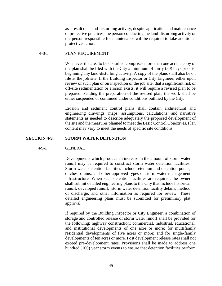as a result of a land-disturbing activity, despite application and maintenance of protective practices, the person conducting the land-disturbing activity or the person responsible for maintenance will be required to take additional protective action.

#### 4-8-3 PLAN REQUIREMENT

Whenever the area to be disturbed comprises more than one acre, a copy of the plan shall be filed with the City a minimum of thirty (30) days prior to beginning any land-disturbing activity. A copy of the plans shall also be on file at the job site. If the Building Inspector or City Engineer, either upon review of such plan or on inspection of the job site, that a significant risk of off-site sedimentation or erosion exists, it will require a revised plan to be prepared. Pending the preparation of the revised plan, the work shall be either suspended or continued under conditions outlined by the City.

Erosion and sediment control plans shall contain architectural and engineering drawings, maps, assumptions, calculations, and narrative statements as needed to describe adequately the proposed development of the site and the measures planned to meet the Basic Control Objectives. Plan content may vary to meet the needs of specific site conditions.

#### **SECTION 4-9. STORM WATER DETENTION**

#### 4-9-1 GENERAL

Developments which produce an increase in the amount of storm water runoff may be required to construct storm water detention facilities. Storm water detention facilities include retention and detention ponds, ditches, drains, and other approved types of storm water management infrastructure. When such detention facilities are required, the owner shall submit detailed engineering plans to the City that include historical runoff, developed runoff, storm water detention facility details, method of discharge, and other information as required for review. These detailed engineering plans must be submitted for preliminary plat approval.

If required by the Building Inspector or City Engineer, a combination of storage and controlled release of storm water runoff shall be provided for the following: highway construction; commercial, industrial, educational, and institutional developments of one acre or more; for multifamily residential developments of five acres or more; and for single-family developments of ten acres or more. Post development release rates shall not exceed pre-development rates. Provisions shall be made to address one hundred (100) year storm events to ensure that detention facilities perform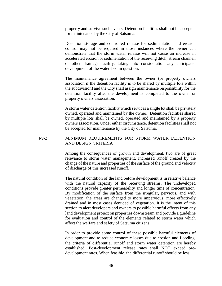properly and survive such events. Detention facilities shall not be accepted for maintenance by the City of Satsuma.

Detention storage and controlled release for sedimentation and erosion control may not be required in those instances where the owner can demonstrate that the storm water release will not cause an increase in accelerated erosion or sedimentation of the receiving ditch, stream channel, or other drainage facility, taking into consideration any anticipated development of the watershed in question.

The maintenance agreement between the owner (or property owners association if the detention facility is to be shared by multiple lots within the subdivision) and the City shall assign maintenance responsibility for the detention facility after the development is completed to the owner or property owners association.

A storm water detention facility which services a single lot shall be privately owned, operated and maintained by the owner. Detention facilities shared by multiple lots shall be owned, operated and maintained by a property owners association. Under either circumstance, detention facilities shall not be accepted for maintenance by the City of Satsuma.

# 4-9-2 MINIMUM REQUIREMENTS FOR STORM WATER DETENTION AND DESIGN CRITERIA

Among the consequences of growth and development, two are of great relevance to storm water management. Increased runoff created by the change of the nature and properties of the surface of the ground and velocity of discharge of this increased runoff.

The natural condition of the land before development is in relative balance with the natural capacity of the receiving streams. The undeveloped conditions provide greater permeability and longer time of concentration. By modification of the surface from the irregular, pervious, and with vegetation, the areas are changed to more impervious, more effectively drained and in most cases denuded of vegetation. It is the intent of this section to alert developers and owners to possible harmful effects from any land development project on properties downstream and provide a guideline for evaluation and control of the elements related to storm water which affect the welfare and safety of Satsuma citizens.

In order to provide some control of these possible harmful elements of development and to reduce economic losses due to erosion and flooding, the criteria of differential runoff and storm water detention are hereby established. Post-development release rates shall NOT exceed predevelopment rates. When feasible, the differential runoff should be less.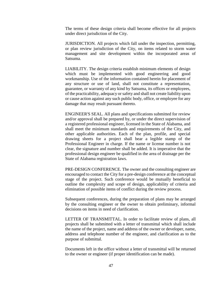The terms of these design criteria shall become effective for all projects under direct jurisdiction of the City.

JURISDICTION. All projects which fall under the inspection, permitting, or plan review jurisdiction of the City, on items related to storm water management and site development within the incorporated areas of Satsuma.

LIABILITY. The design criteria establish minimum elements of design which must be implemented with good engineering and good workmanship. Use of the information contained herein for placement of any structure or use of land, shall not constitute a representation, guarantee, or warranty of any kind by Satsuma, its offices or employees, of the practicability, adequacy or safety and shall not create liability upon or cause action against any such public body, office, or employee for any damage that may result pursuant thereto.

ENGINEER'S SEAL. All plans and specifications submitted for review and/or approval shall be prepared by, or under the direct supervision of a registered professional engineer, licensed in the State of Alabama, and shall meet the minimum standards and requirements of the City, and other applicable authorities. Each of the plan, profile, and special drawing sheets for a project shall bear a legible stamp of the Professional Engineer in charge. If the name or license number is not clear, the signature and number shall be added. It is imperative that the professional design engineer be qualified in the area of drainage per the State of Alabama registration laws.

PRE-DESIGN CONFERENCE. The owner and the consulting engineer are encouraged to contact the City for a pre-design conference at the conceptual stage of the project. Such conference would be mutually beneficial to outline the complexity and scope of design, applicability of criteria and elimination of possible items of conflict during the review process.

Subsequent conferences, during the preparation of plans may be arranged by the consulting engineer or the owner to obtain preliminary, informal decisions on items in need of clarification.

LETTER OF TRANSMITTAL. In order to facilitate review of plans, all projects shall be submitted with a letter of transmittal which shall include the name of the project, name and address of the owner or developer, name, address and telephone number of the engineer, and clarification as to the purpose of submittal.

Documents left in the office without a letter of transmittal will be returned to the owner or engineer (if proper identification can be made).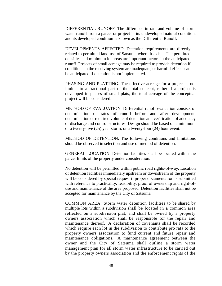DIFFERENTIAL RUNOFF. The difference in rate and volume of storm water runoff from a parcel or project in its undeveloped natural condition, and its developed condition is known as the Differential Runoff.

DEVELOPMENTS AFFECTED. Detention requirements are directly related to permitted land use of Satsuma where it exists. The permitted densities and minimum lot areas are important factors in the anticipated runoff. Projects of small acreage may be required to provide detention if conditions in the receiving system are inadequate, or harmful effects can be anticipated if detention is not implemented.

PHASING AND PLATTING. The effective acreage for a project is not limited to a fractional part of the total concept, rather if a project is developed in phases of small plats, the total acreage of the conceptual project will be considered.

METHOD OF EVALUATION. Differential runoff evaluation consists of determination of rates of runoff before and after development, determination of required volume of detention and verification of adequacy of discharge and control structures. Design should be based on a minimum of a twenty-five (25) year storm, or a twenty-four (24) hour event.

METHOD OF DETENTION. The following conditions and limitations should be observed in selection and use of method of detention.

GENERAL LOCATION. Detention facilities shall be located within the parcel limits of the property under consideration.

No detention will be permitted within public road rights-of-way. Location of detention facilities immediately upstream or downstream of the property will be considered by special request if proper documentation is submitted with reference to practicality, feasibility, proof of ownership and right-ofuse and maintenance of the area proposed. Detention facilities shall not be accepted for maintenance by the City of Satsuma.

COMMON AREA. Storm water detention facilities to be shared by multiple lots within a subdivision shall be located in a common area reflected on a subdivision plat, and shall be owned by a property owners association which shall be responsible for the repair and maintenance thereof. A declaration of covenants shall be recorded which require each lot in the subdivision to contribute pro rata to the property owners association to fund current and future repair and maintenance obligations. A maintenance agreement between the owner and the City of Satsuma shall outline a storm water management plan for all storm water infrastructure to be carried out by the property owners association and the enforcement rights of the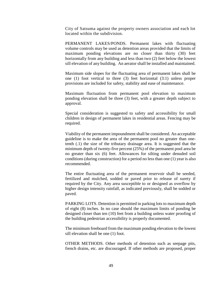City of Satsuma against the property owners association and each lot located within the subdivision.

PERMANENT LAKES/PONDS. Permanent lakes with fluctuating volume controls may be used as detention areas provided that the limits of maximum ponding elevations are no closer than thirty (30) feet horizontally from any building and less than two (2) feet below the lowest sill elevation of any building. An aerator shall be installed and maintained.

Maximum side slopes for the fluctuating area of permanent lakes shall be one (1) foot vertical to three (3) feet horizontal (3:1) unless proper provisions are included for safety, stability and ease of maintenance.

Maximum fluctuation from permanent pool elevation to maximum ponding elevation shall be three (3) feet, with a greater depth subject to approval.

Special consideration is suggested to safety and accessibility for small children in design of permanent lakes in residential areas. Fencing may be required.

Viability of the permanent impoundment shall be considered. An acceptable guideline is to make the area of the permanent pool no greater than onetenth (.1) the size of the tributary drainage area. It is suggested that the minimum depth of twenty-five percent (25%) of the permanent pool area be no greater than six (6) feet. Allowances for silting under denuded soil conditions (during construction) for a period no less than one (1) year is also recommended.

The entire fluctuating area of the permanent reservoir shall be seeded, fertilized and mulched, sodded or paved prior to release of surety if required by the City. Any area susceptible to or designed as overflow by higher design intensity rainfall, as indicated previously, shall be sodded or paved.

PARKING LOTS. Detention is permitted in parking lots to maximum depth of eight (8) inches. In no case should the maximum limits of ponding be designed closer than ten (10) feet from a building unless water proofing of the building pedestrian accessibility is properly documented.

The minimum freeboard from the maximum ponding elevation to the lowest sill elevation shall be one (1) foot.

OTHER METHODS. Other methods of detention such as seepage pits, french drains, etc. are discouraged. If other methods are proposed, proper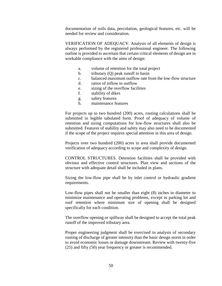documentation of soils data, percolation, geological features, etc. will be needed for review and consideration.

VERIFICATION OF ADEQUACY. Analysis of all elements of design is always performed by the registered professional engineer. The following outline is provided to ascertain that certain critical elements of design are in workable compliance with the aims of design:

- a. volume of retention for the total project
- b. tributary (Q) peak runoff to basin
- c. balanced maximum outflow rate from the low-flow structure
- d. ratios of inflow to outflow
- e. sizing of the overflow facilities
- f. stability of dikes
- g. safety features
- h. maintenance features

For projects up to two hundred (200) acres, routing calculations shall be submitted in legible tabulated form. Proof of adequacy of volume of retention and sizing computations for low-flow structures shall also be submitted. Features of stability and safety may also need to be documented if the scope of the project requires special attention in this area of design.

Projects over two hundred (200) acres in area shall provide documented verification of adequacy according to scope and complexity of design.

CONTROL STRUCTURES. Detention facilities shall be provided with obvious and effective control structures. Plan view and sections of the structure with adequate detail shall be included in plans.

Sizing the low-flow pipe shall be by inlet control or hydraulic gradient requirements.

Low-flow pipes shall not be smaller than eight (8) inches in diameter to minimize maintenance and operating problems, except in parking lot and roof retention where minimum size of opening shall be designed specifically for each condition.

The overflow opening or spillway shall be designed to accept the total peak runoff of the improved tributary area.

Proper engineering judgment shall be exercised in analysis of secondary routing of discharge of greater intensity than the basic design storm in order to avoid economic losses or damage downstream. Review with twenty-five (25) and fifty (50) year frequency or greater is recommended.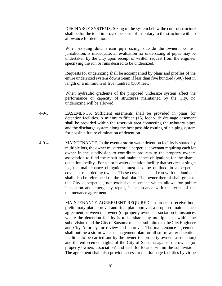DISCHARGE SYSTEMS. Sizing of the system below the control structure shall be for the total improved peak runoff tributary to the structure with no allowance for detention.

When existing downstream pipe sizing, outside the owners' control jurisdiction, is inadequate, an evaluation for undersizing of pipes may be undertaken by the City upon receipt of written request from the engineer specifying the run or runs desired to be undersized.

Requests for undersizing shall be accompanied by plans and profiles of the entire undersized system downstream if less than five hundred (500) feet in length or a minimum of five hundred (500) feet.

When hydraulic gradients of the proposed undersize system affect the performance or capacity of structures maintained by the City, no undersizing will be allowed.

- 4-9-3 EASEMENTS. Sufficient easements shall be provided in plans for detention facilities. A minimum fifteen (15) foot wide drainage easement shall be provided within the reservoir area connecting the tributary pipes and the discharge system along the best possible routing of a piping system for possible future elimination of detention.
- 4-9-4 MAINTENANCE. In the event a storm water detention facility is shared by multiple lots, the owner must record a perpetual covenant requiring each lot owner in the subdivision to contribute pro rata to the property owners association to fund the repair and maintenance obligations for the shared detention facility. For a storm water detention facility that services a single lot, the maintenance obligations must also be outlined in a perpetual covenant recorded by owner. These covenants shall run with the land and shall also be referenced on the final plat. The owner thereof shall grant to the City a perpetual, non-exclusive easement which allows for public inspection and emergency repair, in accordance with the terms of the maintenance agreement.

MAINTENANCE AGREEMENT REQUIRED. In order to receive both preliminary plat approval and final plat approval, a proposed maintenance agreement between the owner (or property owners association in instances where the detention facility is to be shared by multiple lots within the subdivision) and the City of Satsuma must be submitted to the City Engineer and City Attorney for review and approval. The maintenance agreement shall outline a storm water management plan for all storm water detention facilities to be carried out by the owner (or property owners association) and the enforcement rights of the City of Satsuma against the owner (or property owners association) and each lot located within the subdivision. The agreement shall also provide access to the drainage facilities by virtue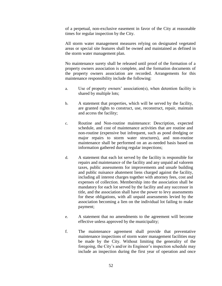of a perpetual, non-exclusive easement in favor of the City at reasonable times for regular inspection by the City.

All storm water management measures relying on designated vegetated areas or special site features shall be owned and maintained as defined in the storm water management plan.

No maintenance surety shall be released until proof of the formation of a property owners association is complete, and the formation documents of the property owners association are recorded. Arrangements for this maintenance responsibility include the following:

- a. Use of property owners' association(s), when detention facility is shared by multiple lots;
- b. A statement that properties, which will be served by the facility, are granted rights to construct, use, reconstruct, repair, maintain and access the facility;
- c. Routine and Non-routine maintenance: Description, expected schedule, and cost of maintenance activities that are routine and non-routine (expensive but infrequent, such as pond dredging or major repairs to storm water structures), and non-routine maintenance shall be performed on an as-needed basis based on information gathered during regular inspections;
- d. A statement that each lot served by the facility is responsible for repairs and maintenance of the facility and any unpaid ad valorem taxes, public assessments for improvements and unsafe building and public nuisance abatement liens charged against the facility, including all interest charges together with attorney fees, cost and expenses of collection. Membership into the association shall be mandatory for each lot served by the facility and any successor in title, and the association shall have the power to levy assessments for these obligations, with all unpaid assessments levied by the association becoming a lien on the individual lot failing to make payment;
- e. A statement that no amendments to the agreement will become effective unless approved by the municipality;
- f. The maintenance agreement shall provide that preventative maintenance inspections of storm water management facilities may be made by the City. Without limiting the generality of the foregoing, the City's and/or its Engineer's inspection schedule may include an inspection during the first year of operation and once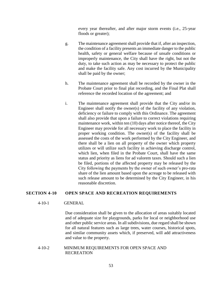every year thereafter, and after major storm events (i.e., 25-year floods or greater);

- g. The maintenance agreement shall provide that if, after an inspection, the condition of a facility presents an immediate danger to the public health, safety or general welfare because of unsafe conditions or improperly maintenance, the City shall have the right, but not the duty, to take such action as may be necessary to protect the public and make the facility safe. Any cost incurred by the Municipality shall be paid by the owner;
- h. The maintenance agreement shall be recorded by the owner in the Probate Court prior to final plat recording, and the Final Plat shall reference the recorded location of the agreement; and
- i. The maintenance agreement shall provide that the City and/or its Engineer shall notify the owner(s) of the facility of any violation, deficiency or failure to comply with this Ordinance. The agreement shall also provide that upon a failure to correct violations requiring maintenance work, within ten (10) days after notice thereof, the City Engineer may provide for all necessary work to place the facility in proper working condition. The owner(s) of the facility shall be assessed the costs of the work performed by the City Engineer, and there shall be a lien on all property of the owner which property utilizes or will utilize such facility in achieving discharge control, which lien, when filed in the Probate Court, shall have the same status and priority as liens for ad valorem taxes. Should such a lien be filed, portions of the affected property may be released by the City following the payments by the owner of such owner's pro-rata share of the lien amount based upon the acreage to be released with such release amount to be determined by the City Engineer, in his reasonable discretion.

# **SECTION 4-10 OPEN SPACE AND RECREATION REQUIREMENTS**

#### 4-10-1 GENERAL

Due consideration shall be given to the allocation of areas suitably located and of adequate size for playgrounds, parks for local or neighborhood use and other public service areas. In all subdivisions, due regard shall be shown for all natural features such as large trees, water courses, historical spots, and similar community assets which, if preserved, will add attractiveness and value to the property.

4-10-2 MINIMUM REQUIREMENTS FOR OPEN SPACE AND RECREATION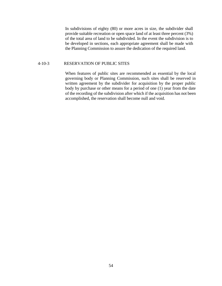In subdivisions of eighty (80) or more acres in size, the subdivider shall provide suitable recreation or open space land of at least three percent (3%) of the total area of land to be subdivided. In the event the subdivision is to be developed in sections, each appropriate agreement shall be made with the Planning Commission to assure the dedication of the required land.

#### 4-10-3 RESERVATION OF PUBLIC SITES

When features of public sites are recommended as essential by the local governing body or Planning Commission, such sites shall be reserved in written agreement by the subdivider for acquisition by the proper public body by purchase or other means for a period of one (1) year from the date of the recording of the subdivision after which if the acquisition has not been accomplished, the reservation shall become null and void.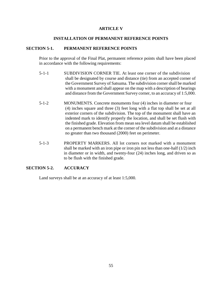# **ARTICLE V**

# **INSTALLATION OF PERMANENT REFERENCE POINTS**

# **SECTION 5-1. PERMANENT REFERENCE POINTS**

Prior to the approval of the Final Plat, permanent reference points shall have been placed in accordance with the following requirements:

- 5-1-1 SUBDIVISION CORNER TIE. At least one corner of the subdivision shall be designated by course and distance (tie) from an accepted corner of the Government Survey of Satsuma. The subdivision corner shall be marked with a monument and shall appear on the map with a description of bearings and distance from the Government Survey corner, to an accuracy of 1:5,000.
- 5-1-2 MONUMENTS. Concrete monuments four (4) inches in diameter or four (4) inches square and three (3) feet long with a flat top shall be set at all exterior corners of the subdivision. The top of the monument shall have an indented mark to identify properly the location, and shall be set flush with the finished grade. Elevation from mean sea level datum shall be established on a permanent bench mark at the corner of the subdivision and at a distance no greater than two thousand (2000) feet on perimeter.
- 5-1-3 PROPERTY MARKERS. All lot corners not marked with a monument shall be marked with an iron pipe or iron pin not less than one-half  $(1/2)$  inch in diameter or in width, and twenty-four (24) inches long, and driven so as to be flush with the finished grade.

# **SECTION 5-2. ACCURACY**

Land surveys shall be at an accuracy of at least 1:5,000.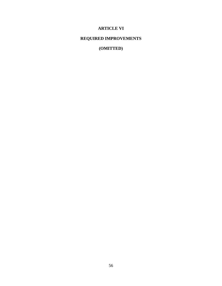# **ARTICLE VI**

# **REQUIRED IMPROVEMENTS**

**(OMITTED)**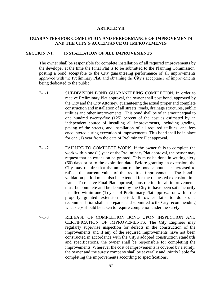#### **ARTICLE VII**

# **GUARANTEES FOR COMPLETION AND PERFORMANCE OF IMPROVEMENTS AND THE CITY'S ACCEPTANCE OF IMPROVEMENTS**

#### **SECTION 7-1. INSTALLATION OF ALL IMPROVEMENTS**

The owner shall be responsible for complete installation of all required improvements by the developer at the time the Final Plat is to be submitted to the Planning Commission, posting a bond acceptable to the City guaranteeing performance of all improvements approved with the Preliminary Plat, and obtaining the City's acceptance of improvements being dedicated to the public.

- 7-1-1 SUBDIVISION BOND GUARANTEEING COMPLETION. In order to receive Preliminary Plat approval, the owner shall post bond, approved by the City and the City Attorney, guaranteeing the actual proper and complete construction and installation of all streets, roads, drainage structures, public utilities and other improvements. This bond shall be of an amount equal to one hundred twenty-five (125) percent of the cost as estimated by an independent source of installing all improvements, including grading, paving of the streets, and installation of all required utilities, and fees encountered during execution of improvements. This bond shall be in place for one (1) year from the date of Preliminary Plat approval.
- 7-1-2 FAILURE TO COMPLETE WORK. If the owner fails to complete the work within one (1) year of the Preliminary Plat approval, the owner may request that an extension be granted. This must be done in writing sixty (60) days prior to the expiration date. Before granting an extension, the City may require that the amount of the bond amount be increased to reflect the current value of the required improvements. The bond's validation period must also be extended for the requested extension time frame. To receive Final Plat approval, construction for all improvements must be complete and be deemed by the City to have been satisfactorily installed within one (1) year of Preliminary Plat approval or within the properly granted extension period. If owner fails to do so, a recommendation shall be prepared and submitted to the City recommending what steps should be taken to require completion under the surety.
- 7-1-3 RELEASE OF COMPLETION BOND UPON INSPECTION AND CERTIFICATION OF IMPROVEMENTS. The City Engineer may regularly supervise inspection for defects in the construction of the improvements and if any of the required improvements have not been constructed in accordance with the City's adopted construction standards and specifications, the owner shall be responsible for completing the improvements. Wherever the cost of improvements is covered by a surety, the owner and the surety company shall be severally and jointly liable for completing the improvements according to specifications.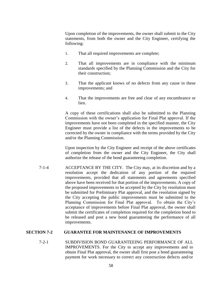Upon completion of the improvements, the owner shall submit to the City statements, from both the owner and the City Engineer, certifying the following:

- 1. That all required improvements are complete;
- 2. That all improvements are in compliance with the minimum standards specified by the Planning Commission and the City for their construction;
- 3. That the applicant knows of no defects from any cause in these improvements; and
- 4. That the improvements are free and clear of any encumbrance or lien.

A copy of these certifications shall also be submitted to the Planning Commission with the owner's application for Final Plat approval. If the improvements have not been completed in the specified manner, the City Engineer must provide a list of the defects in the improvements to be corrected by the owner in compliance with the terms provided by the City and/or the Planning Commission.

Upon inspection by the City Engineer and receipt of the above certificates of completion from the owner and the City Engineer, the City shall authorize the release of the bond guaranteeing completion.

7-1-4 ACCEPTANCE BY THE CITY. The City may, at its discretion and by a resolution accept the dedication of any portion of the required improvements, provided that all statements and agreements specified above have been received for that portion of the improvements. A copy of the proposed improvements to be accepted by the City by resolution must be submitted for Preliminary Plat approval, and the resolution signed by the City accepting the public improvements must be submitted to the Planning Commission for Final Plat approval. To obtain the City's acceptance of improvements before Final Plat approval, the owner shall submit the certificates of completion required for the completion bond to be released and post a new bond guaranteeing the performance of all improvements.

# **SECTION 7-2 GUARANTEE FOR MAINTENANCE OF IMPROVEMENTS**

7-2-1 SUBDIVISION BOND GUARANTEEING PERFORMANCE OF ALL IMPROVEMENTS. For the City to accept any improvements and to obtain Final Plat approval, the owner shall first post a bond guaranteeing payment for work necessary to correct any construction defects and/or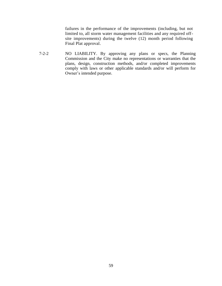failures in the performance of the improvements (including, but not limited to, all storm water management facilities and any required offsite improvements) during the twelve (12) month period following Final Plat approval.

7-2-2 NO LIABILITY. By approving any plans or specs, the Planning Commission and the City make no representations or warranties that the plans, design, construction methods, and/or completed improvements comply with laws or other applicable standards and/or will perform for Owner's intended purpose.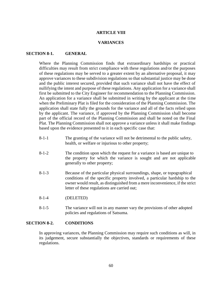## **ARTICLE VIII**

# **VARIANCES**

#### **SECTION 8-1. GENERAL**

Where the Planning Commission finds that extraordinary hardships or practical difficulties may result from strict compliance with these regulations and/or the purposes of these regulations may be served to a greater extent by an alternative proposal, it may approve variances to these subdivision regulations so that substantial justice may be done and the public interest secured, provided that such variance shall not have the effect of nullifying the intent and purpose of these regulations. Any application for a variance shall first be submitted to the City Engineer for recommendation to the Planning Commission. An application for a variance shall be submitted in writing by the applicant at the time when the Preliminary Plat is filed for the consideration of the Planning Commission. The application shall state fully the grounds for the variance and all of the facts relied upon by the applicant. The variance, if approved by the Planning Commission shall become part of the official record of the Planning Commission and shall be noted on the Final Plat. The Planning Commission shall not approve a variance unless it shall make findings based upon the evidence presented to it in each specific case that:

- 8-1-1 The granting of the variance will not be detrimental to the public safety, health, or welfare or injurious to other property;
- 8-1-2 The condition upon which the request for a variance is based are unique to the property for which the variance is sought and are not applicable generally to other property;
- 8-1-3 Because of the particular physical surroundings, shape, or topographical conditions of the specific property involved, a particular hardship to the owner would result, as distinguished from a mere inconvenience, if the strict letter of these regulations are carried out;
- 8-1-4 (DELETED)
- 8-1-5 The variance will not in any manner vary the provisions of other adopted policies and regulations of Satsuma.

#### **SECTION 8-2. CONDITIONS**

In approving variances, the Planning Commission may require such conditions as will, in its judgement, secure substantially the objectives, standards or requirements of these regulations.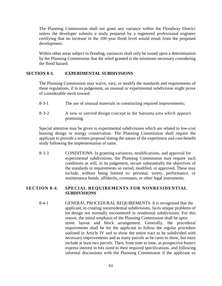The Planning Commission shall not grant any variance within the Floodway District unless the developer submits a study prepared by a registered professional engineer certifying that no increase in the 100-year flood level would result from the proposed development.

Within other areas subject to flooding, variances shall only be issued upon a determination by the Planning Commission that the relief granted is the minimum necessary considering the flood hazard.

# **SECTION 8-3. EXPERIMENTAL SUBDIVISIONS**

The Planning Commission may waive, vary, or modify the standards and requirements of these regulations, if in its judgement, an unusual or experimental subdivision might prove of considerable merit toward:

- 8-3-1 The use of unusual materials in constructing required improvements;
- 8-3-2 A new or untried design concept in the Satsuma area which appears promising.

Special attention may be given to experimental subdivisions which are related to low-cost housing design or energy conservation. The Planning Commission shall require the applicant to provide a written proposal stating the nature of the experiment and cost-benefit study following the implementation of same.

8-3-3 CONDITIONS. In granting variances, modifications, and approval for experimental subdivisions, the Planning Commission may require such conditions as will, in its judgement, secure substantially the objectives of the standards or requirements so varied, modified, or approved. These may include, without being limited to: personal, surety, performance, or maintenance bonds, affidavits, covenants, or other legal instruments.

# **SECTION 8-4. SPECIAL REQUIREMENTS FOR NONRESIDENTIAL SUBDIVISIONS**

8-4-1 GENERAL PROCEDURAL REQUIREMENTS. It is recognized that the applicant, in creating nonresidential subdivisions, faces unique problems of lot design not normally encountered in residential subdivisions. For this reason, the initial emphasis of the Planning Commission shall be upon street layout and block arrangement. Generally, the procedural requirements shall be for the applicant to follow the regular procedure outlined in Article IV and to show the entire tract to be subdivided with necessary improvements and as many parcels as he cares to show, but must include at least two parcels. Then, from time to time, as prospective buyers express interest in lots sized to their required specifications, and following informal discussions with the Planning Commission if the applicant so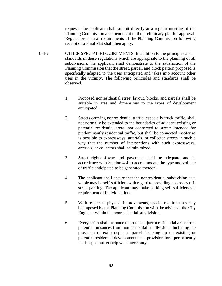requests, the applicant shall submit directly at a regular meeting of the Planning Commission an amendment to the preliminary plat for approval. Regular procedural requirements of the Planning Commission following receipt of a Final Plat shall then apply.

- 8-4-2 OTHER SPECIAL REQUIREMENTS. In addition to the principles and standards in these regulations which are appropriate to the planning of all subdivisions, the applicant shall demonstrate to the satisfaction of the Planning Commission that the street, parcel, and block pattern proposed is specifically adapted to the uses anticipated and takes into account other uses in the vicinity. The following principles and standards shall be observed.
	- 1. Proposed nonresidential street layout, blocks, and parcels shall be suitable in area and dimensions to the types of development anticipated.
	- 2. Streets carrying nonresidential traffic, especially truck traffic, shall not normally be extended to the boundaries of adjacent existing or potential residential areas, nor connected to streets intended for predominantly residential traffic, but shall be connected insofar as is possible to expressways, arterials, or collector streets in such a way that the number of intersections with such expressways, arterials, or collectors shall be minimized.
	- 3. Street rights-of-way and pavement shall be adequate and in accordance with Section 4-4 to accommodate the type and volume of traffic anticipated to be generated thereon.
	- 4. The applicant shall ensure that the nonresidential subdivision as a whole may be self-sufficient with regard to providing necessary offstreet parking. The applicant may make parking self-sufficiency a requirement of individual lots.
	- 5. With respect to physical improvements, special requirements may be imposed by the Planning Commission with the advice of the City Engineer within the nonresidential subdivision.
	- 6. Every effort shall be made to protect adjacent residential areas from potential nuisances from nonresidential subdivisions, including the provision of extra depth in parcels backing up on existing or potential residential developments and provision for a permanently landscaped buffer strip when necessary.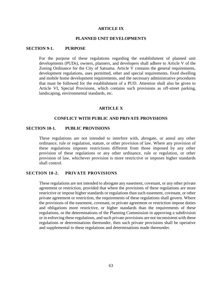#### **ARTICLE IX**

## **PLANNED UNIT DEVELOPMENTS**

### **SECTION 9-1. PURPOSE**

For the purpose of these regulations regarding the establishment of planned unit developments (PUDs), owners, planners, and developers shall adhere to Article V of the Zoning Ordinance for the City of Satsuma. Article V contains the general requirements, development regulations, uses permitted, other and special requirements, fixed dwelling and mobile home development requirements, and the necessary administrative procedures that must be followed for the establishment of a PUD. Attention shall also be given to Article VI, Special Provisions, which contains such provisions as off-street parking, landscaping, environmental standards, etc.

#### **ARTICLE X**

# **CONFLICT WITH PUBLIC AND PRIVATE PROVISIONS**

#### **SECTION 10-1. PUBLIC PROVISIONS**

These regulations are not intended to interfere with, abrogate, or annul any other ordinance, rule or regulation, statute, or other provision of law. Where any provision of these regulations imposes restrictions different from those imposed by any other provision of these regulations or any other ordinance, rule or regulation, or other provision of law, whichever provision is more restrictive or imposes higher standards shall control.

# **SECTION 10-2. PRIVATE PROVISIONS**

These regulations are not intended to abrogate any easement, covenant, or any other private agreement or restriction, provided that where the provisions of these regulations are more restrictive or impose higher standards or regulations than such easement, covenant, or other private agreement or restriction, the requirements of these regulations shall govern. Where the provisions of the easement, covenant, or private agreement or restriction impose duties and obligations more restrictive, or higher standards than the requirements of these regulations, or the determinations of the Planning Commission in approving a subdivision or in enforcing these regulations, and such private provisions are not inconsistent with these regulations or determinations thereunder, then such private provisions shall be operative and supplemental to these regulations and determinations made thereunder.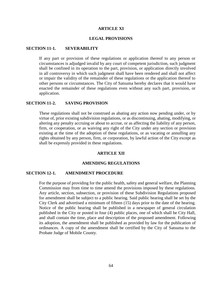#### **ARTICLE XI**

#### **LEGAL PROVISIONS**

# **SECTION 11-1. SEVERABILITY**

If any part or provision of these regulations or application thereof to any person or circumstances is adjudged invalid by any court of competent jurisdiction, such judgment shall be confined in its operation to the part, provision, or application directly involved in all controversy in which such judgment shall have been rendered and shall not affect or impair the validity of the remainder of these regulations or the application thereof to other persons or circumstances. The City of Satsuma hereby declares that it would have enacted the remainder of these regulations even without any such part, provision, or application.

# **SECTION 11-2. SAVING PROVISION**

These regulations shall not be construed as abating any action now pending under, or by virtue of, prior existing subdivision regulations, or as discontinuing, abating, modifying, or altering any penalty accruing or about to accrue, or as affecting the liability of any person, firm, or cooperation, or as waiving any right of the City under any section or provision existing at the time of the adoption of these regulations, or as vacating or annulling any rights obtained by any person, firm, or corporation, by lawful action of the City except as shall be expressly provided in these regulations.

#### **ARTICLE XII**

#### **AMENDING REGULATIONS**

#### **SECTION 12-1. AMENDMENT PROCEDURE**

For the purpose of providing for the public health, safety and general welfare, the Planning Commission may from time to time amend the provisions imposed by these regulations. Any article, section, subsection, or provision of these Subdivision Regulations proposed for amendment shall be subject to a public hearing. Said public hearing shall be set by the City Clerk and advertised a minimum of fifteen (15) days prior to the date of the hearing. Notice of the public hearing shall be published in a newspaper of general circulation published in the City or posted in four (4) public places, one of which shall be City Hall, and shall contain the time, place and description of the proposed amendment. Following its adoption, the amendment shall be published as provided by law for the publication of ordinances. A copy of the amendment shall be certified by the City of Satsuma to the Probate Judge of Mobile County.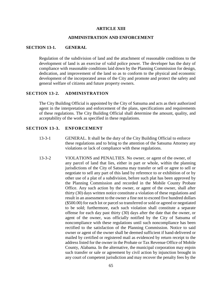### **ARTICLE XIII**

#### **ADMINISTRATION AND ENFORCEMENT**

# **SECTION 13-1. GENERAL**

Regulation of the subdivision of land and the attachment of reasonable conditions to the development of land is an exercise of valid police power. The developer has the duty of compliance with reasonable conditions laid down by the Planning Commission for design, dedication, and improvement of the land so as to conform to the physical and economic development of the incorporated areas of the City and promote and protect the safety and general welfare of citizens and future property owners.

# **SECTION 13-2. ADMINISTRATION**

The City Building Official is appointed by the City of Satsuma and acts as their authorized agent in the interpretation and enforcement of the plans, specifications and requirements of these regulations. The City Building Official shall determine the amount, quality, and acceptability of the work as specified in these regulations.

#### **SECTION 13-3. ENFORCEMENT**

- 13-3-1 GENERAL. It shall be the duty of the City Building Official to enforce these regulations and to bring to the attention of the Satsuma Attorney any violations or lack of compliance with these regulations.
- 13-3-2 VIOLATIONS and PENALTIES. No owner, or agent of the owner, of any parcel of land that lies, either in part or whole, within the planning jurisdictions of the City of Satsuma may transfer or sell or agree to sell or negotiate to sell any part of this land by reference to or exhibition of or by other use of a plat of a subdivision, before such plat has been approved by the Planning Commission and recorded in the Mobile County Probate Office. Any such action by the owner, or agent of the owner, shall after thirty (30) days written notice constitute a violation of these regulations and result in an assessment to the owner a fine not to exceed five hundred dollars (\$500.00) for each lot or parcel so transferred or sold or agreed or negotiated to be sold; furthermore, each such violation shall constitute a separate offense for each day past thirty (30) days after the date that the owner, or agent of the owner, was officially notified by the City of Satsuma of noncompliance with these regulations until such noncompliance has been rectified to the satisfaction of the Planning Commission. Notice to said owner or agent of the owner shall be deemed sufficient if hand-delivered or mailed by certified or registered mail as evidenced by return receipt to the address listed for the owner in the Probate or Tax Revenue Office of Mobile County, Alabama. In the alternative, the municipal corporation may enjoin such transfer or sale or agreement by civil action by injunction brought in any court of competent jurisdiction and may recover the penalty fees by the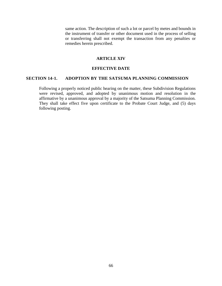same action. The description of such a lot or parcel by metes and bounds in the instrument of transfer or other document used in the process of selling or transferring shall not exempt the transaction from any penalties or remedies herein prescribed.

#### **ARTICLE XIV**

# **EFFECTIVE DATE**

# **SECTION 14-1. ADOPTION BY THE SATSUMA PLANNING COMMISSION**

Following a properly noticed public hearing on the matter, these Subdivision Regulations were revised, approved, and adopted by unanimous motion and resolution in the affirmative by a unanimous approval by a majority of the Satsuma Planning Commission. They shall take effect five upon certificate to the Probate Court Judge, and (5) days following posting.